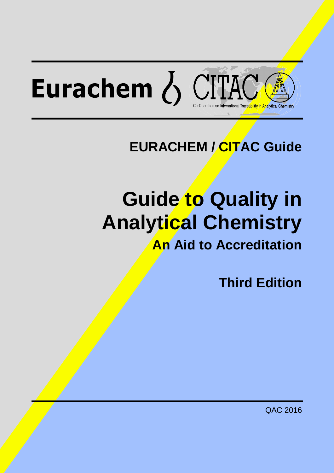

# **EURACHEM / CITAC Guide**

# **Guide to Quality in Analytical Chemistry An Aid to Accreditation**

**Third Edition** 

QAC 2016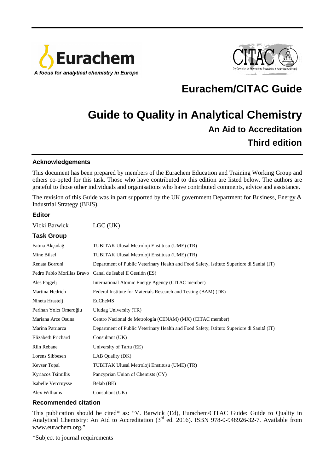



# **Eurachem/CITAC Guide**

# **Guide to Quality in Analytical Chemistry An Aid to Accreditation Third edition**

#### **Acknowledgements**

This document has been prepared by members of the Eurachem Education and Training Working Group and others co-opted for this task. Those who have contributed to this edition are listed below. The authors are grateful to those other individuals and organisations who have contributed comments, advice and assistance.

The revision of this Guide was in part supported by the UK government Department for Business, Energy & Industrial Strategy (BEIS).

#### **Editor**

Vicki Barwick LGC (UK)

|  | <b>Task Group</b> |
|--|-------------------|
|--|-------------------|

| TUSK OTOUP                 |                                                                                           |
|----------------------------|-------------------------------------------------------------------------------------------|
| Fatma Akçadağ              | TUBITAK Ulusal Metroloji Enstitusu (UME) (TR)                                             |
| Mine Bilsel                | TUBITAK Ulusal Metroloji Enstitusu (UME) (TR)                                             |
| Renata Borroni             | Department of Public Veterinary Health and Food Safety, Istituto Superiore di Sanitá (IT) |
| Pedro Pablo Morillas Bravo | Canal de Isabel II Gestión (ES)                                                           |
| Ales Fajgelj               | International Atomic Energy Agency (CITAC member)                                         |
| Martina Hedrich            | Federal Institute for Materials Research and Testing (BAM) (DE)                           |
| Nineta Hrastelj            | EuCheMS                                                                                   |
| Perihan Yolcı Ömeroğlu     | Uludag University (TR)                                                                    |
| Mariana Arce Osuna         | Centro Nacional de Metrología (CENAM) (MX) (CITAC member)                                 |
| Marina Patriarca           | Department of Public Veterinary Health and Food Safety, Istituto Superiore di Sanitá (IT) |
| Elizabeth Prichard         | Consultant (UK)                                                                           |
| Riin Rebane                | University of Tartu (EE)                                                                  |
| Lorens Sibbesen            | LAB Quality (DK)                                                                          |
| Kevser Topal               | TUBITAK Ulusal Metroloji Enstitusu (UME) (TR)                                             |
| Kyriacos Tsimillis         | Pancyprian Union of Chemists (CY)                                                         |
| Isabelle Vercruysse        | Belab (BE)                                                                                |
| Alex Williams              | Consultant (UK)                                                                           |

#### **Recommended citation**

This publication should be cited\* as: "V. Barwick (Ed), Eurachem/CITAC Guide: Guide to Quality in Analytical Chemistry: An Aid to Accreditation (3<sup>rd</sup> ed. 2016). ISBN 978-0-948926-32-7. Available from www.eurachem.org."

\*Subject to journal requirements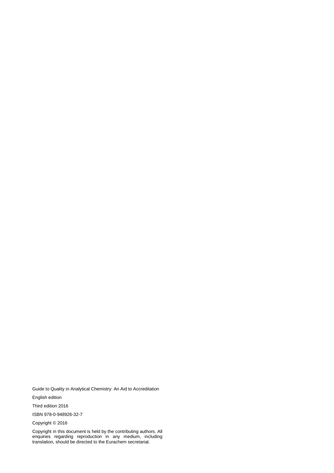Guide to Quality in Analytical Chemistry: An Aid to Accreditation

English edition

Third edition 2016

ISBN 978-0-948926-32-7

Copyright © 2016

Copyright in this document is held by the contributing authors. All enquiries regarding reproduction in any medium, including translation, should be directed to the Eurachem secretariat.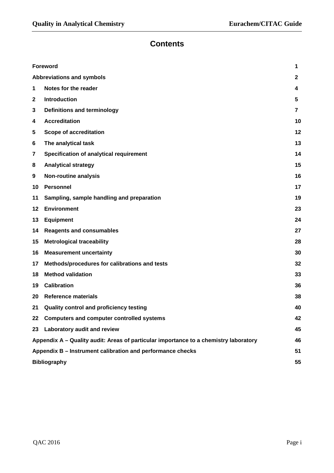#### **Contents**

|              | <b>Foreword</b>                                                                      | 1            |
|--------------|--------------------------------------------------------------------------------------|--------------|
|              | <b>Abbreviations and symbols</b>                                                     | $\mathbf{2}$ |
| $\mathbf 1$  | Notes for the reader                                                                 | 4            |
| $\mathbf{2}$ | <b>Introduction</b>                                                                  | 5            |
| 3            | <b>Definitions and terminology</b>                                                   | 7            |
| 4            | <b>Accreditation</b>                                                                 | 10           |
| 5            | <b>Scope of accreditation</b>                                                        | 12           |
| 6            | The analytical task                                                                  | 13           |
| 7            | Specification of analytical requirement                                              | 14           |
| 8            | <b>Analytical strategy</b>                                                           | 15           |
| 9            | <b>Non-routine analysis</b>                                                          | 16           |
| 10           | <b>Personnel</b>                                                                     | 17           |
| 11           | Sampling, sample handling and preparation                                            | 19           |
| 12           | <b>Environment</b>                                                                   | 23           |
| 13           | <b>Equipment</b>                                                                     | 24           |
| 14           | <b>Reagents and consumables</b>                                                      | 27           |
| 15           | <b>Metrological traceability</b>                                                     | 28           |
| 16           | <b>Measurement uncertainty</b>                                                       | 30           |
| 17           | Methods/procedures for calibrations and tests                                        | 32           |
| 18           | <b>Method validation</b>                                                             | 33           |
| 19           | <b>Calibration</b>                                                                   | 36           |
| 20           | <b>Reference materials</b>                                                           | 38           |
| 21           | Quality control and proficiency testing                                              | 40           |
| 22           | <b>Computers and computer controlled systems</b>                                     | 42           |
| 23           | Laboratory audit and review                                                          | 45           |
|              | Appendix A - Quality audit: Areas of particular importance to a chemistry laboratory | 46           |
|              | Appendix B - Instrument calibration and performance checks                           |              |
|              | <b>Bibliography</b>                                                                  |              |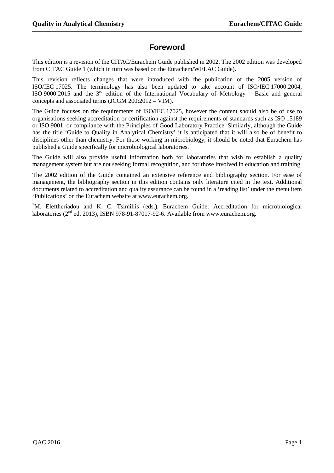#### **Foreword**

This edition is a revision of the CITAC/Eurachem Guide published in 2002. The 2002 edition was developed from CITAC Guide 1 (which in turn was based on the Eurachem/WELAC Guide).

This revision reflects changes that were introduced with the publication of the 2005 version of ISO/IEC 17025. The terminology has also been updated to take account of ISO/IEC 17000:2004, ISO 9000:2015 and the  $3<sup>rd</sup>$  edition of the International Vocabulary of Metrology – Basic and general concepts and associated terms (JCGM 200:2012 – VIM).

The Guide focuses on the requirements of ISO/IEC 17025, however the content should also be of use to organisations seeking accreditation or certification against the requirements of standards such as ISO 15189 or ISO 9001, or compliance with the Principles of Good Laboratory Practice. Similarly, although the Guide has the title 'Guide to Quality in Analytical Chemistry' it is anticipated that it will also be of benefit to disciplines other than chemistry. For those working in microbiology, it should be noted that Eurachem has published a Guide specifically for microbiological laboratories.†

The Guide will also provide useful information both for laboratories that wish to establish a quality management system but are not seeking formal recognition, and for those involved in education and training.

The 2002 edition of the Guide contained an extensive reference and bibliography section. For ease of management, the bibliography section in this edition contains only literature cited in the text. Additional documents related to accreditation and quality assurance can be found in a 'reading list' under the menu item 'Publications' on the Eurachem website at www.eurachem.org.

†M. Eleftheriadou and K. C. Tsimillis (eds.), Eurachem Guide: Accreditation for microbiological laboratories ( $2<sup>nd</sup>$  ed. 2013), ISBN 978-91-87017-92-6. Available from www.eurachem.org.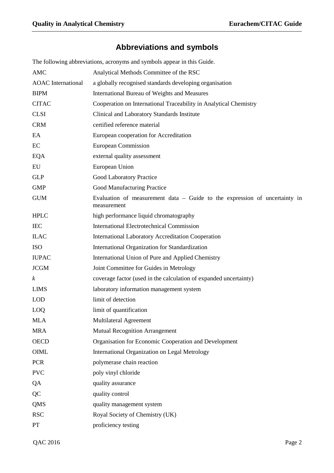# **Abbreviations and symbols**

| The following abbreviations, acronyms and symbols appear in this Guide.                   |  |  |
|-------------------------------------------------------------------------------------------|--|--|
| Analytical Methods Committee of the RSC                                                   |  |  |
| a globally recognised standards developing organisation                                   |  |  |
| International Bureau of Weights and Measures                                              |  |  |
| Cooperation on International Traceability in Analytical Chemistry                         |  |  |
| Clinical and Laboratory Standards Institute                                               |  |  |
| certified reference material                                                              |  |  |
| European cooperation for Accreditation                                                    |  |  |
| European Commission                                                                       |  |  |
| external quality assessment                                                               |  |  |
| European Union                                                                            |  |  |
| Good Laboratory Practice                                                                  |  |  |
| Good Manufacturing Practice                                                               |  |  |
| Evaluation of measurement data - Guide to the expression of uncertainty in<br>measurement |  |  |
| high performance liquid chromatography                                                    |  |  |
| <b>International Electrotechnical Commission</b>                                          |  |  |
| <b>International Laboratory Accreditation Cooperation</b>                                 |  |  |
| International Organization for Standardization                                            |  |  |
| International Union of Pure and Applied Chemistry                                         |  |  |
| Joint Committee for Guides in Metrology                                                   |  |  |
| coverage factor (used in the calculation of expanded uncertainty)                         |  |  |
| laboratory information management system                                                  |  |  |
| limit of detection                                                                        |  |  |
| limit of quantification                                                                   |  |  |
| Multilateral Agreement                                                                    |  |  |
| <b>Mutual Recognition Arrangement</b>                                                     |  |  |
| Organisation for Economic Cooperation and Development                                     |  |  |
| International Organization on Legal Metrology                                             |  |  |
| polymerase chain reaction                                                                 |  |  |
| poly vinyl chloride                                                                       |  |  |
| quality assurance                                                                         |  |  |
| quality control                                                                           |  |  |
| quality management system                                                                 |  |  |
| Royal Society of Chemistry (UK)                                                           |  |  |
| proficiency testing                                                                       |  |  |
|                                                                                           |  |  |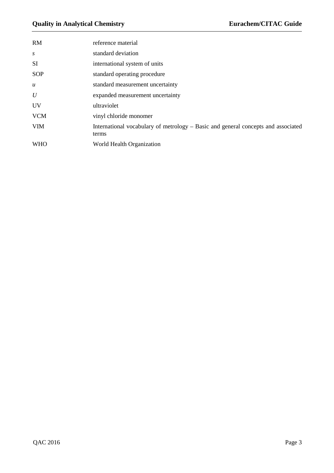| RM               | reference material                                                                         |
|------------------|--------------------------------------------------------------------------------------------|
| $\boldsymbol{S}$ | standard deviation                                                                         |
| <b>SI</b>        | international system of units                                                              |
| <b>SOP</b>       | standard operating procedure                                                               |
| $\boldsymbol{u}$ | standard measurement uncertainty                                                           |
| U                | expanded measurement uncertainty                                                           |
| <b>UV</b>        | ultraviolet                                                                                |
| <b>VCM</b>       | vinyl chloride monomer                                                                     |
| <b>VIM</b>       | International vocabulary of metrology – Basic and general concepts and associated<br>terms |
| <b>WHO</b>       | World Health Organization                                                                  |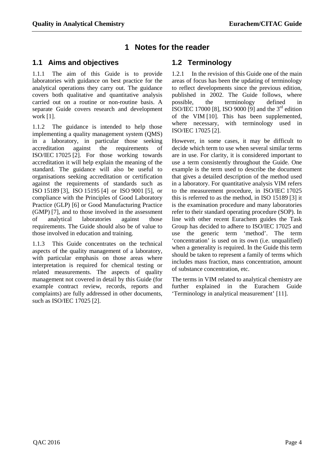#### **1 Notes for the reader**

#### **1.1 Aims and objectives**

1.1.1 The aim of this Guide is to provide laboratories with guidance on best practice for the analytical operations they carry out. The guidance covers both qualitative and quantitative analysis carried out on a routine or non-routine basis. A separate Guide covers research and development work [1].

1.1.2 The guidance is intended to help those implementing a quality management system (QMS) in a laboratory, in particular those seeking accreditation against the requirements of ISO/IEC 17025 [2]. For those working towards accreditation it will help explain the meaning of the standard. The guidance will also be useful to organisations seeking accreditation or certification against the requirements of standards such as ISO 15189 [3], ISO 15195 [4] or ISO 9001 [5], or compliance with the Principles of Good Laboratory Practice (GLP) [6] or Good Manufacturing Practice (GMP) [7], and to those involved in the assessment of analytical laboratories against those requirements. The Guide should also be of value to those involved in education and training.

1.1.3 This Guide concentrates on the technical aspects of the quality management of a laboratory, with particular emphasis on those areas where interpretation is required for chemical testing or related measurements. The aspects of quality management not covered in detail by this Guide (for example contract review, records, reports and complaints) are fully addressed in other documents, such as ISO/IEC 17025 [2].

#### **1.2 Terminology**

1.2.1 In the revision of this Guide one of the main areas of focus has been the updating of terminology to reflect developments since the previous edition, published in 2002. The Guide follows, where possible, the terminology defined in ISO/IEC 17000 [8], ISO 9000 [9] and the  $3<sup>rd</sup>$  edition of the VIM [10]. This has been supplemented, where necessary, with terminology used in ISO/IEC 17025 [2].

However, in some cases, it may be difficult to decide which term to use when several similar terms are in use. For clarity, it is considered important to use a term consistently throughout the Guide. One example is the term used to describe the document that gives a detailed description of the method used in a laboratory. For quantitative analysis VIM refers to the measurement procedure, in ISO/IEC 17025 this is referred to as the method, in ISO 15189 [3] it is the examination procedure and many laboratories refer to their standard operating procedure (SOP). In line with other recent Eurachem guides the Task Group has decided to adhere to ISO/IEC 17025 and use the generic term 'method'. The term 'concentration' is used on its own (i.e. unqualified) when a generality is required. In the Guide this term should be taken to represent a family of terms which includes mass fraction, mass concentration, amount of substance concentration, etc.

The terms in VIM related to analytical chemistry are further explained in the Eurachem Guide 'Terminology in analytical measurement' [11].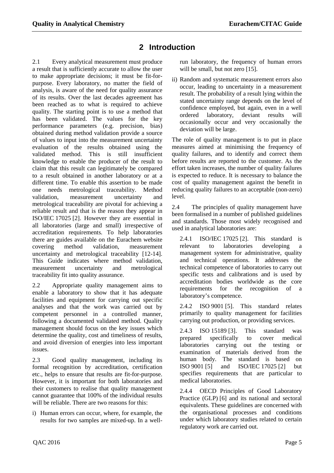# **2 Introduction**

2.1 Every analytical measurement must produce a result that is sufficiently accurate to allow the user to make appropriate decisions; it must be fit-forpurpose. Every laboratory, no matter the field of analysis, is aware of the need for quality assurance of its results. Over the last decades agreement has been reached as to what is required to achieve quality. The starting point is to use a method that has been validated. The values for the key performance parameters (e.g. precision, bias) obtained during method validation provide a source of values to input into the measurement uncertainty evaluation of the results obtained using the validated method. This is still insufficient knowledge to enable the producer of the result to claim that this result can legitimately be compared to a result obtained in another laboratory or at a different time. To enable this assertion to be made one needs metrological traceability. Method validation, measurement uncertainty and metrological traceability are pivotal for achieving a reliable result and that is the reason they appear in ISO/IEC 17025 [2]. However they are essential in all laboratories (large and small) irrespective of accreditation requirements. To help laboratories there are guides available on the Eurachem website covering method validation, measurement uncertainty and metrological traceability [12-14]. This Guide indicates where method validation, measurement uncertainty and metrological traceability fit into quality assurance.

2.2 Appropriate quality management aims to enable a laboratory to show that it has adequate facilities and equipment for carrying out specific analyses and that the work was carried out by competent personnel in a controlled manner, following a documented validated method. Quality management should focus on the key issues which determine the quality, cost and timeliness of results, and avoid diversion of energies into less important issues.

2.3 Good quality management, including its formal recognition by accreditation, certification etc., helps to ensure that results are fit-for-purpose. However, it is important for both laboratories and their customers to realise that quality management cannot guarantee that 100% of the individual results will be reliable. There are two reasons for this:

i) Human errors can occur, where, for example, the results for two samples are mixed-up. In a wellrun laboratory, the frequency of human errors will be small, but not zero [15].

ii) Random and systematic measurement errors also occur, leading to uncertainty in a measurement result. The probability of a result lying within the stated uncertainty range depends on the level of confidence employed, but again, even in a well ordered laboratory, deviant results will occasionally occur and very occasionally the deviation will be large.

The role of quality management is to put in place measures aimed at minimising the frequency of quality failures, and to identify and correct them before results are reported to the customer. As the effort taken increases, the number of quality failures is expected to reduce. It is necessary to balance the cost of quality management against the benefit in reducing quality failures to an acceptable (non-zero) level.

2.4 The principles of quality management have been formalised in a number of published guidelines and standards. Those most widely recognised and used in analytical laboratories are:

2.4.1 ISO/IEC 17025 [2]. This standard is relevant to laboratories developing a management system for administrative, quality and technical operations. It addresses the technical competence of laboratories to carry out specific tests and calibrations and is used by accreditation bodies worldwide as the core requirements for the recognition of a laboratory's competence.

2.4.2 ISO 9001 [5]. This standard relates primarily to quality management for facilities carrying out production, or providing services.

2.4.3 ISO 15189 [3]. This standard was prepared specifically to cover medical laboratories carrying out the testing or examination of materials derived from the human body. The standard is based on ISO 9001 [5] and ISO/IEC 17025 [2] but specifies requirements that are particular to medical laboratories.

2.4.4 OECD Principles of Good Laboratory Practice (GLP) [6] and its national and sectoral equivalents. These guidelines are concerned with the organisational processes and conditions under which laboratory studies related to certain regulatory work are carried out.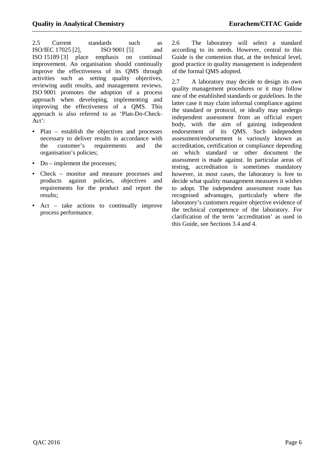2.5 Current standards such as ISO/IEC 17025 [2], ISO 9001 [5] and ISO 15189 [3] place emphasis on continual improvement. An organisation should continually improve the effectiveness of its QMS through activities such as setting quality objectives, reviewing audit results, and management reviews. ISO 9001 promotes the adoption of a process approach when developing, implementing and improving the effectiveness of a QMS. This approach is also referred to as 'Plan-Do-Check-Act':

- Plan establish the objectives and processes necessary to deliver results in accordance with the customer's requirements and the organisation's policies;
- Do implement the processes:
- Check monitor and measure processes and products against policies, objectives and requirements for the product and report the results;
- Act take actions to continually improve process performance.

2.6 The laboratory will select a standard according to its needs. However, central to this Guide is the contention that, at the technical level, good practice in quality management is independent of the formal QMS adopted.

2.7 A laboratory may decide to design its own quality management procedures or it may follow one of the established standards or guidelines. In the latter case it may claim informal compliance against the standard or protocol, or ideally may undergo independent assessment from an official expert body, with the aim of gaining independent endorsement of its QMS. Such independent assessment/endorsement is variously known as accreditation, certification or compliance depending on which standard or other document the assessment is made against. In particular areas of testing, accreditation is sometimes mandatory however, in most cases, the laboratory is free to decide what quality management measures it wishes to adopt. The independent assessment route has recognised advantages, particularly where the laboratory's customers require objective evidence of the technical competence of the laboratory. For clarification of the term 'accreditation' as used in this Guide, see Sections 3.4 and 4.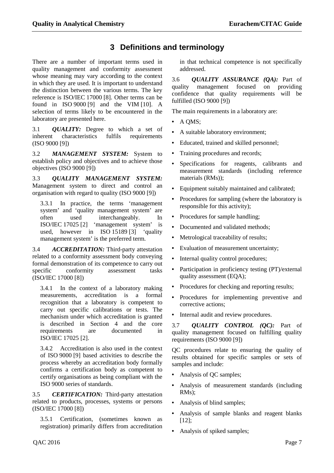# **3 Definitions and terminology**

There are a number of important terms used in quality management and conformity assessment whose meaning may vary according to the context in which they are used. It is important to understand the distinction between the various terms. The key reference is ISO/IEC 17000 [8]. Other terms can be found in ISO 9000 [9] and the VIM [10]. A selection of terms likely to be encountered in the laboratory are presented here.

3.1 *QUALITY:* Degree to which a set of inherent characteristics fulfils requirements (ISO 9000 [9])

3.2 *MANAGEMENT SYSTEM:* System to establish policy and objectives and to achieve those objectives (ISO 9000 [9])

3.3 *QUALITY MANAGEMENT SYSTEM:*  Management system to direct and control an organisation with regard to quality (ISO 9000 [9])

3.3.1 In practice, the terms 'management system' and 'quality management system' are often used interchangeably. In ISO/IEC 17025 [2] 'management system' is used, however in ISO 15189 [3] 'quality management system' is the preferred term.

3.4 *ACCREDITATION:* Third-party attestation related to a conformity assessment body conveying formal demonstration of its competence to carry out specific conformity assessment tasks (ISO/IEC 17000 [8])

3.4.1 In the context of a laboratory making measurements, accreditation is a formal recognition that a laboratory is competent to carry out specific calibrations or tests. The mechanism under which accreditation is granted is described in Section 4 and the core requirements are documented in ISO/IEC 17025 [2].

3.4.2 Accreditation is also used in the context of ISO 9000 [9] based activities to describe the process whereby an accreditation body formally confirms a certification body as competent to certify organisations as being compliant with the ISO 9000 series of standards.

3.5 *CERTIFICATION:* Third-party attestation related to products, processes, systems or persons (ISO/IEC 17000 [8])

3.5.1 Certification, (sometimes known as registration) primarily differs from accreditation in that technical competence is not specifically addressed.

3.6 *QUALITY ASSURANCE (QA):* Part of quality management focused on providing confidence that quality requirements will be fulfilled (ISO 9000 [9])

The main requirements in a laboratory are:

- A QMS;
- A suitable laboratory environment;
- Educated, trained and skilled personnel;
- Training procedures and records;
- Specifications for reagents, calibrants and measurement standards (including reference materials (RMs));
- Equipment suitably maintained and calibrated;
- Procedures for sampling (where the laboratory is responsible for this activity);
- Procedures for sample handling;
- Documented and validated methods;
- Metrological traceability of results;
- Evaluation of measurement uncertainty;
- Internal quality control procedures;
- Participation in proficiency testing (PT)/external quality assessment (EQA);
- Procedures for checking and reporting results;
- Procedures for implementing preventive and corrective actions;
- Internal audit and review procedures.

3.7 *QUALITY CONTROL (QC):* Part of quality management focused on fulfilling quality requirements (ISO 9000 [9])

QC procedures relate to ensuring the quality of results obtained for specific samples or sets of samples and include:

- Analysis of QC samples;
- Analysis of measurement standards (including RMs);
- Analysis of blind samples;
- Analysis of sample blanks and reagent blanks [12];
- Analysis of spiked samples;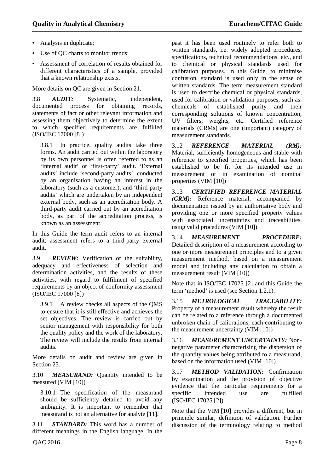- Analysis in duplicate:
- Use of QC charts to monitor trends;
- Assessment of correlation of results obtained for different characteristics of a sample, provided that a known relationship exists.

More details on QC are given in Section 21.

3.8 *AUDIT:* Systematic, independent, documented process for obtaining records, statements of fact or other relevant information and assessing them objectively to determine the extent to which specified requirements are fulfilled (ISO/IEC 17000 [8])

3.8.1 In practice, quality audits take three forms. An audit carried out within the laboratory by its own personnel is often referred to as an 'internal audit' or 'first-party' audit. 'External audits' include 'second-party audits', conducted by an organisation having an interest in the laboratory (such as a customer), and 'third-party audits' which are undertaken by an independent external body, such as an accreditation body. A third-party audit carried out by an accreditation body, as part of the accreditation process, is known as an assessment.

In this Guide the term audit refers to an internal audit; assessment refers to a third-party external audit.

3.9 *REVIEW:* Verification of the suitability, adequacy and effectiveness of selection and determination activities, and the results of these activities, with regard to fulfilment of specified requirements by an object of conformity assessment (ISO/IEC 17000 [8])

3.9.1 A review checks all aspects of the QMS to ensure that it is still effective and achieves the set objectives. The review is carried out by senior management with responsibility for both the quality policy and the work of the laboratory. The review will include the results from internal audits.

More details on audit and review are given in Section 23.

3.10 *MEASURAND:* Quantity intended to be measured (VIM [10])

3.10.1 The specification of the measurand should be sufficiently detailed to avoid any ambiguity. It is important to remember that measurand is not an alternative for analyte [11].

3.11 *STANDARD:* This word has a number of different meanings in the English language. In the past it has been used routinely to refer both to written standards, i.e. widely adopted procedures, specifications, technical recommendations, etc., and to chemical or physical standards used for calibration purposes. In this Guide, to minimise confusion, standard is used only in the sense of written standards. The term measurement standard is used to describe chemical or physical standards, used for calibration or validation purposes, such as: chemicals of established purity and their corresponding solutions of known concentration; UV filters; weights, etc. Certified reference materials (CRMs) are one (important) category of measurement standards.

3.12 *REFERENCE MATERIAL (RM):* Material, sufficiently homogeneous and stable with reference to specified properties, which has been established to be fit for its intended use in measurement or in examination of nominal properties (VIM [10])

3.13 *CERTIFIED REFERENCE MATERIAL (CRM):* Reference material, accompanied by documentation issued by an authoritative body and providing one or more specified property values with associated uncertainties and traceabilities, using valid procedures (VIM [10])

3.14 *MEASUREMENT PROCEDURE:* Detailed description of a measurement according to one or more measurement principles and to a given measurement method, based on a measurement model and including any calculation to obtain a measurement result (VIM [10])

Note that in ISO/IEC 17025 [2] and this Guide the term 'method' is used (see Section 1.2.1).

3.15 *METROLOGICAL TRACEABILITY:* Property of a measurement result whereby the result can be related to a reference through a documented unbroken chain of calibrations, each contributing to the measurement uncertainty (VIM [10])

3.16 *MEASUREMENT UNCERTAINTY:* Nonnegative parameter characterising the dispersion of the quantity values being attributed to a measurand, based on the information used (VIM [10])

3.17 *METHOD VALIDATION:* Confirmation by examination and the provision of objective evidence that the particular requirements for a specific intended use are fulfilled (ISO/IEC 17025 [2])

Note that the VIM [10] provides a different, but in principle similar, definition of validation. Further discussion of the terminology relating to method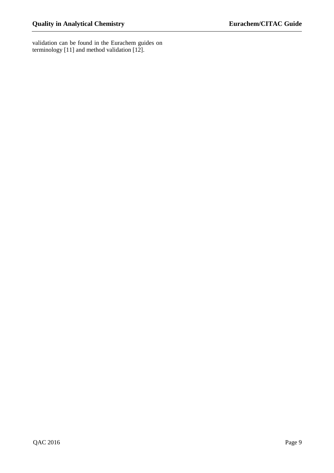validation can be found in the Eurachem guides on terminology [11] and method validation [12].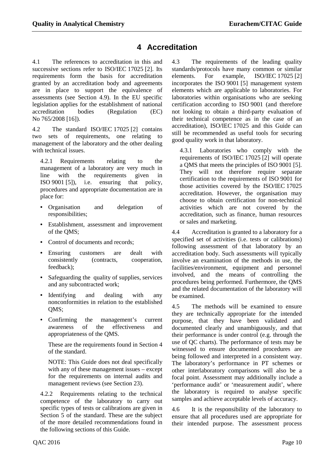# **4 Accreditation**

4.1 The references to accreditation in this and successive sections refer to ISO/IEC 17025 [2]. Its requirements form the basis for accreditation granted by an accreditation body and agreements are in place to support the equivalence of assessments (see Section 4.9). In the EU specific legislation applies for the establishment of national accreditation bodies (Regulation (EC) No 765/2008 [16]).

4.2 The standard ISO/IEC 17025 [2] contains two sets of requirements, one relating to management of the laboratory and the other dealing with technical issues.

4.2.1 Requirements relating to the management of a laboratory are very much in line with the requirements given in ISO 9001 [5]), i.e. ensuring that policy, procedures and appropriate documentation are in place for:

- Organisation and delegation of responsibilities;
- Establishment, assessment and improvement of the QMS;
- Control of documents and records;
- Ensuring customers are dealt with consistently (contracts, cooperation, feedback);
- Safeguarding the quality of supplies, services and any subcontracted work;
- Identifying and dealing with any nonconformities in relation to the established OMS:
- Confirming the management's current awareness of the effectiveness and appropriateness of the QMS.

These are the requirements found in Section 4 of the standard.

NOTE: This Guide does not deal specifically with any of these management issues – except for the requirements on internal audits and management reviews (see Section 23).

4.2.2 Requirements relating to the technical competence of the laboratory to carry out specific types of tests or calibrations are given in Section 5 of the standard. These are the subject of the more detailed recommendations found in the following sections of this Guide.

4.3 The requirements of the leading quality standards/protocols have many common or similar elements. For example, ISO/IEC 17025 [2] incorporates the ISO 9001 [5] management system elements which are applicable to laboratories. For laboratories within organisations who are seeking certification according to ISO 9001 (and therefore not looking to obtain a third-party evaluation of their technical competence as in the case of an accreditation), ISO/IEC 17025 and this Guide can still be recommended as useful tools for securing good quality work in that laboratory.

4.3.1 Laboratories who comply with the requirements of ISO/IEC 17025 [2] will operate a QMS that meets the principles of ISO 9001 [5]. They will not therefore require separate certification to the requirements of ISO 9001 for those activities covered by the ISO/IEC 17025 accreditation. However, the organisation may choose to obtain certification for non-technical activities which are not covered by the accreditation, such as finance, human resources or sales and marketing.

4.4 Accreditation is granted to a laboratory for a specified set of activities (i.e. tests or calibrations) following assessment of that laboratory by an accreditation body. Such assessments will typically involve an examination of the methods in use, the facilities/environment, equipment and personnel involved, and the means of controlling the procedures being performed. Furthermore, the QMS and the related documentation of the laboratory will be examined.

4.5 The methods will be examined to ensure they are technically appropriate for the intended purpose, that they have been validated and documented clearly and unambiguously, and that their performance is under control (e.g. through the use of QC charts). The performance of tests may be witnessed to ensure documented procedures are being followed and interpreted in a consistent way. The laboratory's performance in PT schemes or other interlaboratory comparisons will also be a focal point. Assessment may additionally include a 'performance audit' or 'measurement audit', where the laboratory is required to analyse specific samples and achieve acceptable levels of accuracy.

4.6 It is the responsibility of the laboratory to ensure that all procedures used are appropriate for their intended purpose. The assessment process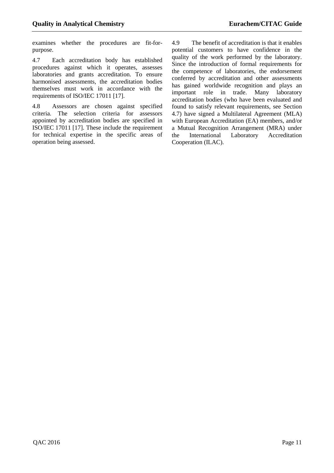examines whether the procedures are fit-forpurpose.

4.7 Each accreditation body has established procedures against which it operates, assesses laboratories and grants accreditation. To ensure harmonised assessments, the accreditation bodies themselves must work in accordance with the requirements of ISO/IEC 17011 [17].

4.8 Assessors are chosen against specified criteria. The selection criteria for assessors appointed by accreditation bodies are specified in ISO/IEC 17011 [17]. These include the requirement for technical expertise in the specific areas of operation being assessed.

4.9 The benefit of accreditation is that it enables potential customers to have confidence in the quality of the work performed by the laboratory. Since the introduction of formal requirements for the competence of laboratories, the endorsement conferred by accreditation and other assessments has gained worldwide recognition and plays an important role in trade. Many laboratory accreditation bodies (who have been evaluated and found to satisfy relevant requirements, see Section 4.7) have signed a Multilateral Agreement (MLA) with European Accreditation (EA) members, and/or a Mutual Recognition Arrangement (MRA) under the International Laboratory Accreditation Cooperation (ILAC).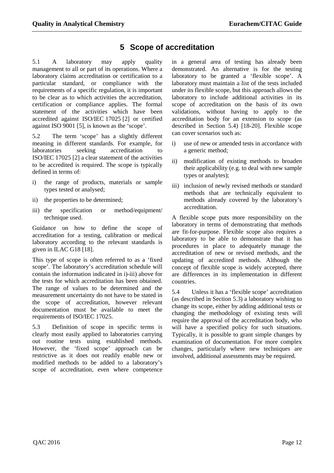# **5 Scope of accreditation**

5.1 A laboratory may apply quality management to all or part of its operations. Where a laboratory claims accreditation or certification to a particular standard, or compliance with the requirements of a specific regulation, it is important to be clear as to which activities the accreditation, certification or compliance applies. The formal statement of the activities which have been accredited against ISO/IEC 17025 [2] or certified against ISO 9001 [5], is known as the 'scope'.

5.2 The term 'scope' has a slightly different meaning in different standards. For example, for laboratories seeking accreditation to ISO/IEC 17025 [2] a clear statement of the activities to be accredited is required. The scope is typically defined in terms of:

- i) the range of products, materials or sample types tested or analysed;
- ii) the properties to be determined;
- iii) the specification or method/equipment/ technique used.

Guidance on how to define the scope of accreditation for a testing, calibration or medical laboratory according to the relevant standards is given in ILAC G18 [18].

This type of scope is often referred to as a 'fixed scope'. The laboratory's accreditation schedule will contain the information indicated in i)-iii) above for the tests for which accreditation has been obtained. The range of values to be determined and the measurement uncertainty do not have to be stated in the scope of accreditation, however relevant documentation must be available to meet the requirements of ISO/IEC 17025.

5.3 Definition of scope in specific terms is clearly most easily applied to laboratories carrying out routine tests using established methods. However, the 'fixed scope' approach can be restrictive as it does not readily enable new or modified methods to be added to a laboratory's scope of accreditation, even where competence in a general area of testing has already been demonstrated. An alternative is for the testing laboratory to be granted a 'flexible scope'. A laboratory must maintain a list of the tests included under its flexible scope, but this approach allows the laboratory to include additional activities in its scope of accreditation on the basis of its own validations, without having to apply to the accreditation body for an extension to scope (as described in Section 5.4) [18-20]. Flexible scope can cover scenarios such as:

- i) use of new or amended tests in accordance with a generic method;
- ii) modification of existing methods to broaden their applicability (e.g. to deal with new sample types or analytes);
- iii) inclusion of newly revised methods or standard methods that are technically equivalent to methods already covered by the laboratory's accreditation.

A flexible scope puts more responsibility on the laboratory in terms of demonstrating that methods are fit-for-purpose. Flexible scope also requires a laboratory to be able to demonstrate that it has procedures in place to adequately manage the accreditation of new or revised methods, and the updating of accredited methods. Although the concept of flexible scope is widely accepted, there are differences in its implementation in different countries.

5.4 Unless it has a 'flexible scope' accreditation (as described in Section 5.3) a laboratory wishing to change its scope, either by adding additional tests or changing the methodology of existing tests will require the approval of the accreditation body, who will have a specified policy for such situations. Typically, it is possible to grant simple changes by examination of documentation. For more complex changes, particularly where new techniques are involved, additional assessments may be required.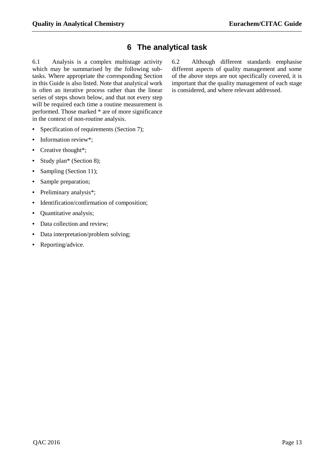#### **6 The analytical task**

6.1 Analysis is a complex multistage activity which may be summarised by the following subtasks. Where appropriate the corresponding Section in this Guide is also listed. Note that analytical work is often an iterative process rather than the linear series of steps shown below, and that not every step will be required each time a routine measurement is performed. Those marked \* are of more significance in the context of non-routine analysis.

- Specification of requirements (Section 7);
- Information review\*;
- Creative thought\*;
- Study plan<sup>\*</sup> (Section 8);
- Sampling (Section 11);
- Sample preparation;
- Preliminary analysis\*;
- Identification/confirmation of composition;
- Quantitative analysis;
- Data collection and review;
- Data interpretation/problem solving;
- Reporting/advice.

6.2 Although different standards emphasise different aspects of quality management and some of the above steps are not specifically covered, it is important that the quality management of each stage is considered, and where relevant addressed.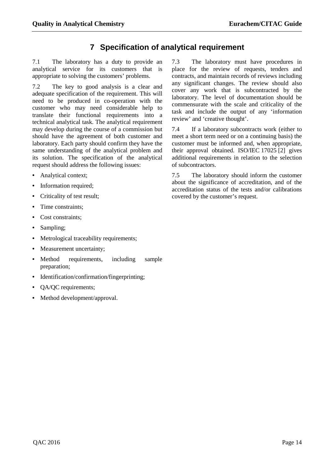#### **7 Specification of analytical requirement**

7.1 The laboratory has a duty to provide an analytical service for its customers that is appropriate to solving the customers' problems.

7.2 The key to good analysis is a clear and adequate specification of the requirement. This will need to be produced in co-operation with the customer who may need considerable help to translate their functional requirements into a technical analytical task. The analytical requirement may develop during the course of a commission but should have the agreement of both customer and laboratory. Each party should confirm they have the same understanding of the analytical problem and its solution. The specification of the analytical request should address the following issues:

- Analytical context;
- Information required;
- Criticality of test result;
- Time constraints:
- Cost constraints;
- Sampling;
- Metrological traceability requirements;
- Measurement uncertainty;
- Method requirements, including sample preparation;
- Identification/confirmation/fingerprinting;
- QA/QC requirements;
- Method development/approval.

7.3 The laboratory must have procedures in place for the review of requests, tenders and contracts, and maintain records of reviews including any significant changes. The review should also cover any work that is subcontracted by the laboratory. The level of documentation should be commensurate with the scale and criticality of the task and include the output of any 'information review' and 'creative thought'.

7.4 If a laboratory subcontracts work (either to meet a short term need or on a continuing basis) the customer must be informed and, when appropriate, their approval obtained. ISO/IEC 17025 [2] gives additional requirements in relation to the selection of subcontractors.

7.5 The laboratory should inform the customer about the significance of accreditation, and of the accreditation status of the tests and/or calibrations covered by the customer's request.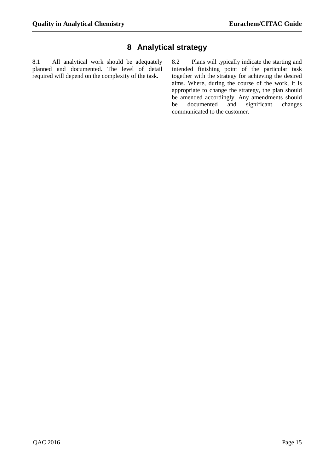# **8 Analytical strategy**

8.1 All analytical work should be adequately planned and documented. The level of detail required will depend on the complexity of the task.

8.2 Plans will typically indicate the starting and intended finishing point of the particular task together with the strategy for achieving the desired aims. Where, during the course of the work, it is appropriate to change the strategy, the plan should be amended accordingly. Any amendments should be documented and significant changes communicated to the customer.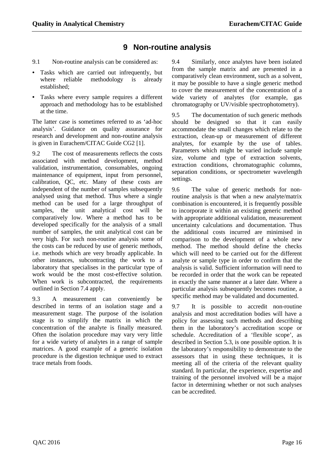#### **9 Non-routine analysis**

9.1 Non-routine analysis can be considered as:

- Tasks which are carried out infrequently, but where reliable methodology is already established;
- Tasks where every sample requires a different approach and methodology has to be established at the time.

The latter case is sometimes referred to as 'ad-hoc analysis'. Guidance on quality assurance for research and development and non-routine analysis is given in Eurachem/CITAC Guide CG2 [1].

9.2 The cost of measurements reflects the costs associated with method development, method validation, instrumentation, consumables, ongoing maintenance of equipment, input from personnel, calibration, QC, etc. Many of these costs are independent of the number of samples subsequently analysed using that method. Thus where a single method can be used for a large throughput of samples, the unit analytical cost will be comparatively low. Where a method has to be developed specifically for the analysis of a small number of samples, the unit analytical cost can be very high. For such non-routine analysis some of the costs can be reduced by use of generic methods, i.e. methods which are very broadly applicable. In other instances, subcontracting the work to a laboratory that specialises in the particular type of work would be the most cost-effective solution. When work is subcontracted, the requirements outlined in Section 7.4 apply.

9.3 A measurement can conveniently be described in terms of an isolation stage and a measurement stage. The purpose of the isolation stage is to simplify the matrix in which the concentration of the analyte is finally measured. Often the isolation procedure may vary very little for a wide variety of analytes in a range of sample matrices. A good example of a generic isolation procedure is the digestion technique used to extract trace metals from foods.

9.4 Similarly, once analytes have been isolated from the sample matrix and are presented in a comparatively clean environment, such as a solvent, it may be possible to have a single generic method to cover the measurement of the concentration of a wide variety of analytes (for example, gas chromatography or UV/visible spectrophotometry).

9.5 The documentation of such generic methods should be designed so that it can easily accommodate the small changes which relate to the extraction, clean-up or measurement of different analytes, for example by the use of tables. Parameters which might be varied include sample size, volume and type of extraction solvents, extraction conditions, chromatographic columns, separation conditions, or spectrometer wavelength settings.

9.6 The value of generic methods for nonroutine analysis is that when a new analyte/matrix combination is encountered, it is frequently possible to incorporate it within an existing generic method with appropriate additional validation, measurement uncertainty calculations and documentation. Thus the additional costs incurred are minimised in comparison to the development of a whole new method. The method should define the checks which will need to be carried out for the different analyte or sample type in order to confirm that the analysis is valid. Sufficient information will need to be recorded in order that the work can be repeated in exactly the same manner at a later date. Where a particular analysis subsequently becomes routine, a specific method may be validated and documented.

9.7 It is possible to accredit non-routine analysis and most accreditation bodies will have a policy for assessing such methods and describing them in the laboratory's accreditation scope or schedule. Accreditation of a 'flexible scope', as described in Section 5.3, is one possible option. It is the laboratory's responsibility to demonstrate to the assessors that in using these techniques, it is meeting all of the criteria of the relevant quality standard. In particular, the experience, expertise and training of the personnel involved will be a major factor in determining whether or not such analyses can be accredited.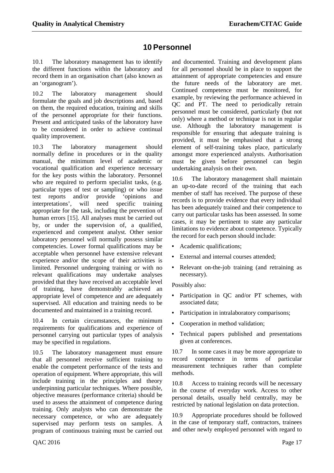# **10 Personnel**

10.1 The laboratory management has to identify the different functions within the laboratory and record them in an organisation chart (also known as an 'organogram').

10.2 The laboratory management should formulate the goals and job descriptions and, based on them, the required education, training and skills of the personnel appropriate for their functions. Present and anticipated tasks of the laboratory have to be considered in order to achieve continual quality improvement.

10.3 The laboratory management should normally define in procedures or in the quality manual, the minimum level of academic or vocational qualification and experience necessary for the key posts within the laboratory. Personnel who are required to perform specialist tasks, (e.g. particular types of test or sampling) or who issue test reports and/or provide 'opinions and interpretations', will need specific training appropriate for the task, including the prevention of human errors [15]. All analyses must be carried out by, or under the supervision of, a qualified, experienced and competent analyst. Other senior laboratory personnel will normally possess similar competencies. Lower formal qualifications may be acceptable when personnel have extensive relevant experience and/or the scope of their activities is limited. Personnel undergoing training or with no relevant qualifications may undertake analyses provided that they have received an acceptable level of training, have demonstrably achieved an appropriate level of competence and are adequately supervised. All education and training needs to be documented and maintained in a training record.

10.4 In certain circumstances, the minimum requirements for qualifications and experience of personnel carrying out particular types of analysis may be specified in regulations.

10.5 The laboratory management must ensure that all personnel receive sufficient training to enable the competent performance of the tests and operation of equipment. Where appropriate, this will include training in the principles and theory underpinning particular techniques. Where possible, objective measures (performance criteria) should be used to assess the attainment of competence during training. Only analysts who can demonstrate the necessary competence, or who are adequately supervised may perform tests on samples. A program of continuous training must be carried out and documented. Training and development plans for all personnel should be in place to support the attainment of appropriate competencies and ensure the future needs of the laboratory are met. Continued competence must be monitored, for example, by reviewing the performance achieved in QC and PT. The need to periodically retrain personnel must be considered, particularly (but not only) where a method or technique is not in regular use. Although the laboratory management is responsible for ensuring that adequate training is provided, it must be emphasised that a strong element of self-training takes place, particularly amongst more experienced analysts. Authorisation must be given before personnel can begin undertaking analysis on their own.

10.6 The laboratory management shall maintain an up-to-date record of the training that each member of staff has received. The purpose of these records is to provide evidence that every individual has been adequately trained and their competence to carry out particular tasks has been assessed. In some cases, it may be pertinent to state any particular limitations to evidence about competence. Typically the record for each person should include:

- Academic qualifications;
- External and internal courses attended:
- Relevant on-the-job training (and retraining as necessary).

Possibly also:

- Participation in QC and/or PT schemes, with associated data;
- Participation in intralaboratory comparisons;
- Cooperation in method validation;
- Technical papers published and presentations given at conferences.

10.7 In some cases it may be more appropriate to record competence in terms of particular measurement techniques rather than complete methods.

10.8 Access to training records will be necessary in the course of everyday work. Access to other personal details, usually held centrally, may be restricted by national legislation on data protection.

10.9 Appropriate procedures should be followed in the case of temporary staff, contractors, trainees and other newly employed personnel with regard to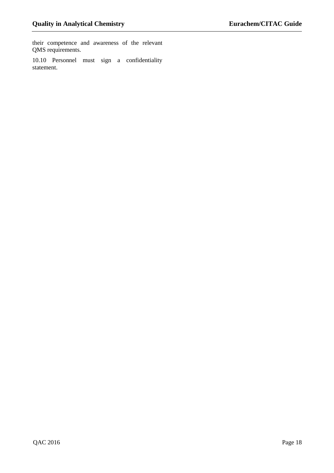their competence and awareness of the relevant QMS requirements.

10.10 Personnel must sign a confidentiality statement.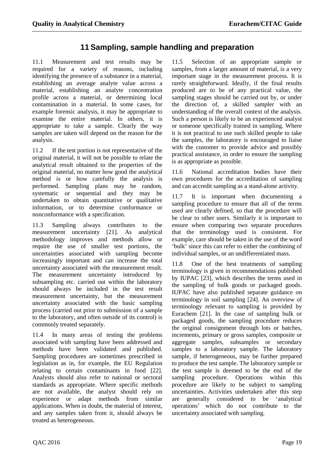#### **11 Sampling, sample handling and preparation**

11.1 Measurement and test results may be required for a variety of reasons, including identifying the presence of a substance in a material, establishing an average analyte value across a material, establishing an analyte concentration profile across a material, or determining local contamination in a material. In some cases, for example forensic analysis, it may be appropriate to examine the entire material. In others, it is appropriate to take a sample. Clearly the way samples are taken will depend on the reason for the analysis.

11.2 If the test portion is not representative of the original material, it will not be possible to relate the analytical result obtained to the properties of the original material, no matter how good the analytical method is or how carefully the analysis is performed. Sampling plans may be random, systematic or sequential and they may be undertaken to obtain quantitative or qualitative information, or to determine conformance or nonconformance with a specification.

11.3 Sampling always contributes to the measurement uncertainty [21]. As analytical methodology improves and methods allow or require the use of smaller test portions, the uncertainties associated with sampling become increasingly important and can increase the total uncertainty associated with the measurement result. The measurement uncertainty introduced by subsampling etc. carried out within the laboratory should always be included in the test result measurement uncertainty, but the measurement uncertainty associated with the basic sampling process (carried out prior to submission of a sample to the laboratory, and often outside of its control) is commonly treated separately.

11.4 In many areas of testing the problems associated with sampling have been addressed and methods have been validated and published. Sampling procedures are sometimes prescribed in legislation as in, for example, the EU Regulation relating to certain contaminants in food [22]. Analysts should also refer to national or sectoral standards as appropriate. Where specific methods are not available, the analyst should rely on experience or adapt methods from similar applications. When in doubt, the material of interest, and any samples taken from it, should always be treated as heterogeneous.

11.5 Selection of an appropriate sample or samples, from a larger amount of material, is a very important stage in the measurement process. It is rarely straightforward. Ideally, if the final results produced are to be of any practical value, the sampling stages should be carried out by, or under the direction of, a skilled sampler with an understanding of the overall context of the analysis. Such a person is likely to be an experienced analyst or someone specifically trained in sampling. Where it is not practical to use such skilled people to take the samples, the laboratory is encouraged to liaise with the customer to provide advice and possibly practical assistance, in order to ensure the sampling is as appropriate as possible.

11.6 National accreditation bodies have their own procedures for the accreditation of sampling and can accredit sampling as a stand-alone activity.

11.7 It is important when documenting a sampling procedure to ensure that all of the terms used are clearly defined, so that the procedure will be clear to other users. Similarly it is important to ensure when comparing two separate procedures that the terminology used is consistent. For example, care should be taken in the use of the word 'bulk' since this can refer to either the combining of individual samples, or an undifferentiated mass.

11.8 One of the best treatments of sampling terminology is given in recommendations published by IUPAC [23], which describes the terms used in the sampling of bulk goods or packaged goods. IUPAC have also published separate guidance on terminology in soil sampling [24]. An overview of terminology relevant to sampling is provided by Eurachem [21]. In the case of sampling bulk or packaged goods, the sampling procedure reduces the original consignment through lots or batches, increments, primary or gross samples, composite or aggregate samples, subsamples or secondary samples to a laboratory sample. The laboratory sample, if heterogeneous, may be further prepared to produce the test sample. The laboratory sample or the test sample is deemed to be the end of the sampling procedure. Operations within this procedure are likely to be subject to sampling uncertainties. Activities undertaken after this step are generally considered to be 'analytical operations' which do not contribute to the uncertainty associated with sampling.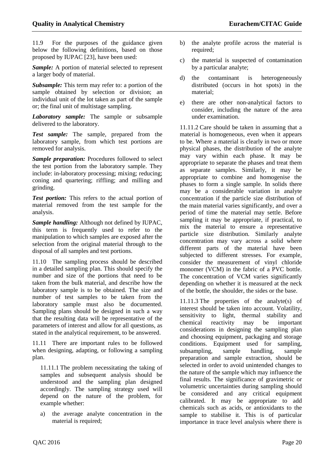11.9 For the purposes of the guidance given below the following definitions, based on those proposed by IUPAC [23], have been used:

*Sample:* A portion of material selected to represent a larger body of material.

*Subsample:* This term may refer to: a portion of the sample obtained by selection or division; an individual unit of the lot taken as part of the sample or; the final unit of multistage sampling.

*Laboratory sample:* The sample or subsample delivered to the laboratory.

*Test sample:* The sample, prepared from the laboratory sample, from which test portions are removed for analysis.

*Sample preparation:* Procedures followed to select the test portion from the laboratory sample. They include: in-laboratory processing; mixing; reducing; coning and quartering; riffling; and milling and grinding.

*Test portion:* This refers to the actual portion of material removed from the test sample for the analysis.

*Sample handling:* Although not defined by IUPAC, this term is frequently used to refer to the manipulation to which samples are exposed after the selection from the original material through to the disposal of all samples and test portions.

11.10 The sampling process should be described in a detailed sampling plan. This should specify the number and size of the portions that need to be taken from the bulk material, and describe how the laboratory sample is to be obtained. The size and number of test samples to be taken from the laboratory sample must also be documented. Sampling plans should be designed in such a way that the resulting data will be representative of the parameters of interest and allow for all questions, as stated in the analytical requirement, to be answered.

11.11 There are important rules to be followed when designing, adapting, or following a sampling plan.

11.11.1 The problem necessitating the taking of samples and subsequent analysis should be understood and the sampling plan designed accordingly. The sampling strategy used will depend on the nature of the problem, for example whether:

a) the average analyte concentration in the material is required;

- b) the analyte profile across the material is required;
- c) the material is suspected of contamination by a particular analyte;
- d) the contaminant is heterogeneously distributed (occurs in hot spots) in the material;
- e) there are other non-analytical factors to consider, including the nature of the area under examination.

11.11.2 Care should be taken in assuming that a material is homogeneous, even when it appears to be. Where a material is clearly in two or more physical phases, the distribution of the analyte may vary within each phase. It may be appropriate to separate the phases and treat them as separate samples. Similarly, it may be appropriate to combine and homogenise the phases to form a single sample. In solids there may be a considerable variation in analyte concentration if the particle size distribution of the main material varies significantly, and over a period of time the material may settle. Before sampling it may be appropriate, if practical, to mix the material to ensure a representative particle size distribution. Similarly analyte concentration may vary across a solid where different parts of the material have been subjected to different stresses. For example, consider the measurement of vinyl chloride monomer (VCM) in the fabric of a PVC bottle. The concentration of VCM varies significantly depending on whether it is measured at the neck of the bottle, the shoulder, the sides or the base.

11.11.3 The properties of the analyte(s) of interest should be taken into account. Volatility, sensitivity to light, thermal stability and chemical reactivity may be important considerations in designing the sampling plan and choosing equipment, packaging and storage conditions. Equipment used for sampling, subsampling, sample handling, sample preparation and sample extraction, should be selected in order to avoid unintended changes to the nature of the sample which may influence the final results. The significance of gravimetric or volumetric uncertainties during sampling should be considered and any critical equipment calibrated. It may be appropriate to add chemicals such as acids, or antioxidants to the sample to stabilise it. This is of particular importance in trace level analysis where there is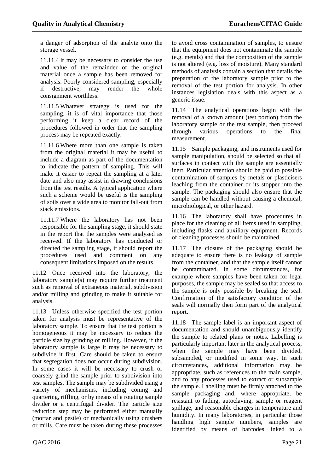a danger of adsorption of the analyte onto the storage vessel.

11.11.4 It may be necessary to consider the use and value of the remainder of the original material once a sample has been removed for analysis. Poorly considered sampling, especially if destructive, may render the whole consignment worthless.

11.11.5 Whatever strategy is used for the sampling, it is of vital importance that those performing it keep a clear record of the procedures followed in order that the sampling process may be repeated exactly.

11.11.6 Where more than one sample is taken from the original material it may be useful to include a diagram as part of the documentation to indicate the pattern of sampling. This will make it easier to repeat the sampling at a later date and also may assist in drawing conclusions from the test results. A typical application where such a scheme would be useful is the sampling of soils over a wide area to monitor fall-out from stack emissions.

11.11.7 Where the laboratory has not been responsible for the sampling stage, it should state in the report that the samples were analysed as received. If the laboratory has conducted or directed the sampling stage, it should report the procedures used and comment on any consequent limitations imposed on the results.

11.12 Once received into the laboratory, the laboratory sample(s) may require further treatment such as removal of extraneous material, subdivision and/or milling and grinding to make it suitable for analysis.

11.13 Unless otherwise specified the test portion taken for analysis must be representative of the laboratory sample. To ensure that the test portion is homogeneous it may be necessary to reduce the particle size by grinding or milling. However, if the laboratory sample is large it may be necessary to subdivide it first. Care should be taken to ensure that segregation does not occur during subdivision. In some cases it will be necessary to crush or coarsely grind the sample prior to subdivision into test samples. The sample may be subdivided using a variety of mechanisms, including coning and quartering, riffling, or by means of a rotating sample divider or a centrifugal divider. The particle size reduction step may be performed either manually (mortar and pestle) or mechanically using crushers or mills. Care must be taken during these processes

to avoid cross contamination of samples, to ensure that the equipment does not contaminate the sample (e.g. metals) and that the composition of the sample is not altered (e.g. loss of moisture). Many standard methods of analysis contain a section that details the preparation of the laboratory sample prior to the removal of the test portion for analysis. In other instances legislation deals with this aspect as a generic issue.

11.14 The analytical operations begin with the removal of a known amount (test portion) from the laboratory sample or the test sample, then proceed through various operations to the final measurement.

11.15 Sample packaging, and instruments used for sample manipulation, should be selected so that all surfaces in contact with the sample are essentially inert. Particular attention should be paid to possible contamination of samples by metals or plasticisers leaching from the container or its stopper into the sample. The packaging should also ensure that the sample can be handled without causing a chemical, microbiological, or other hazard.

11.16 The laboratory shall have procedures in place for the cleaning of all items used in sampling, including flasks and auxiliary equipment. Records of cleaning processes should be maintained.

11.17 The closure of the packaging should be adequate to ensure there is no leakage of sample from the container, and that the sample itself cannot be contaminated. In some circumstances, for example where samples have been taken for legal purposes, the sample may be sealed so that access to the sample is only possible by breaking the seal. Confirmation of the satisfactory condition of the seals will normally then form part of the analytical report.

11.18 The sample label is an important aspect of documentation and should unambiguously identify the sample to related plans or notes. Labelling is particularly important later in the analytical process, when the sample may have been divided, subsampled, or modified in some way. In such circumstances, additional information may be appropriate, such as references to the main sample, and to any processes used to extract or subsample the sample. Labelling must be firmly attached to the sample packaging and, where appropriate, be resistant to fading, autoclaving, sample or reagent spillage, and reasonable changes in temperature and humidity. In many laboratories, in particular those handling high sample numbers, samples are identified by means of barcodes linked to a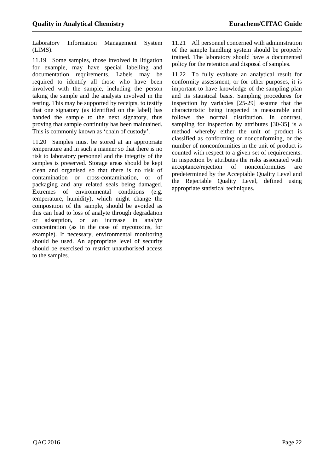Laboratory Information Management System (LIMS).

11.19 Some samples, those involved in litigation for example, may have special labelling and documentation requirements. Labels may be required to identify all those who have been involved with the sample, including the person taking the sample and the analysts involved in the testing. This may be supported by receipts, to testify that one signatory (as identified on the label) has handed the sample to the next signatory, thus proving that sample continuity has been maintained. This is commonly known as 'chain of custody'.

11.20 Samples must be stored at an appropriate temperature and in such a manner so that there is no risk to laboratory personnel and the integrity of the samples is preserved. Storage areas should be kept clean and organised so that there is no risk of contamination or cross-contamination, or of packaging and any related seals being damaged. Extremes of environmental conditions (e.g. temperature, humidity), which might change the composition of the sample, should be avoided as this can lead to loss of analyte through degradation or adsorption, or an increase in analyte concentration (as in the case of mycotoxins, for example). If necessary, environmental monitoring should be used. An appropriate level of security should be exercised to restrict unauthorised access to the samples.

11.21 All personnel concerned with administration of the sample handling system should be properly trained. The laboratory should have a documented policy for the retention and disposal of samples.

11.22 To fully evaluate an analytical result for conformity assessment, or for other purposes, it is important to have knowledge of the sampling plan and its statistical basis. Sampling procedures for inspection by variables [25-29] assume that the characteristic being inspected is measurable and follows the normal distribution. In contrast, sampling for inspection by attributes [30-35] is a method whereby either the unit of product is classified as conforming or nonconforming, or the number of nonconformities in the unit of product is counted with respect to a given set of requirements. In inspection by attributes the risks associated with acceptance/rejection of nonconformities are predetermined by the Acceptable Quality Level and the Rejectable Quality Level, defined using appropriate statistical techniques.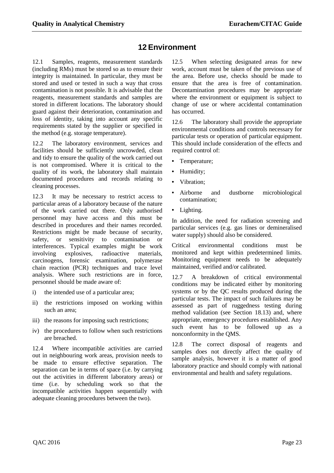#### **12 Environment**

12.1 Samples, reagents, measurement standards (including RMs) must be stored so as to ensure their integrity is maintained. In particular, they must be stored and used or tested in such a way that cross contamination is not possible. It is advisable that the reagents, measurement standards and samples are stored in different locations. The laboratory should guard against their deterioration, contamination and loss of identity, taking into account any specific requirements stated by the supplier or specified in the method (e.g. storage temperature).

12.2 The laboratory environment, services and facilities should be sufficiently uncrowded, clean and tidy to ensure the quality of the work carried out is not compromised. Where it is critical to the quality of its work, the laboratory shall maintain documented procedures and records relating to cleaning processes.

12.3 It may be necessary to restrict access to particular areas of a laboratory because of the nature of the work carried out there. Only authorised personnel may have access and this must be described in procedures and their names recorded. Restrictions might be made because of security, safety, or sensitivity to contamination or interferences. Typical examples might be work involving explosives, radioactive materials, carcinogens, forensic examination, polymerase chain reaction (PCR) techniques and trace level analysis. Where such restrictions are in force, personnel should be made aware of:

- i) the intended use of a particular area;
- ii) the restrictions imposed on working within such an area;
- iii) the reasons for imposing such restrictions;
- iv) the procedures to follow when such restrictions are breached.

12.4 Where incompatible activities are carried out in neighbouring work areas, provision needs to be made to ensure effective separation. The separation can be in terms of space (i.e. by carrying out the activities in different laboratory areas) or time (i.e. by scheduling work so that the incompatible activities happen sequentially with adequate cleaning procedures between the two).

12.5 When selecting designated areas for new work, account must be taken of the previous use of the area. Before use, checks should be made to ensure that the area is free of contamination. Decontamination procedures may be appropriate where the environment or equipment is subject to change of use or where accidental contamination has occurred.

12.6 The laboratory shall provide the appropriate environmental conditions and controls necessary for particular tests or operation of particular equipment. This should include consideration of the effects and required control of:

- Temperature;
- Humidity;
- Vibration;
- Airborne and dustborne microbiological contamination;
- Lighting.

In addition, the need for radiation screening and particular services (e.g. gas lines or demineralised water supply) should also be considered.

Critical environmental conditions must be monitored and kept within predetermined limits. Monitoring equipment needs to be adequately maintained, verified and/or calibrated.

12.7 A breakdown of critical environmental conditions may be indicated either by monitoring systems or by the QC results produced during the particular tests. The impact of such failures may be assessed as part of ruggedness testing during method validation (see Section 18.13) and, where appropriate, emergency procedures established. Any such event has to be followed up as a nonconformity in the QMS.

12.8 The correct disposal of reagents and samples does not directly affect the quality of sample analysis, however it is a matter of good laboratory practice and should comply with national environmental and health and safety regulations.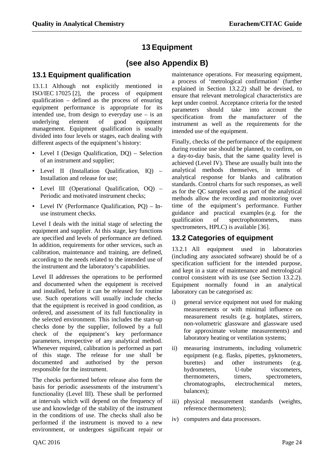# **13 Equipment**

# **(see also Appendix B)**

#### **13.1 Equipment qualification**

13.1.1 Although not explicitly mentioned in ISO/IEC 17025 [2], the process of equipment qualification – defined as the process of ensuring equipment performance is appropriate for its intended use, from design to everyday use – is an underlying element of good equipment management. Equipment qualification is usually divided into four levels or stages, each dealing with different aspects of the equipment's history:

- Level I (Design Qualification, DQ) Selection of an instrument and supplier;
- Level II (Installation Qualification, IQ) Installation and release for use;
- Level III (Operational Qualification, OO) Periodic and motivated instrument checks;
- Level IV (Performance Qualification, PQ) Inuse instrument checks.

Level I deals with the initial stage of selecting the equipment and supplier. At this stage, key functions are specified and levels of performance are defined. In addition, requirements for other services, such as calibration, maintenance and training, are defined, according to the needs related to the intended use of the instrument and the laboratory's capabilities.

Level II addresses the operations to be performed and documented when the equipment is received and installed, before it can be released for routine use. Such operations will usually include checks that the equipment is received in good condition, as ordered, and assessment of its full functionality in the selected environment. This includes the start-up checks done by the supplier, followed by a full check of the equipment's key performance parameters, irrespective of any analytical method. Whenever required, calibration is performed as part of this stage. The release for use shall be documented and authorised by the person responsible for the instrument.

The checks performed before release also form the basis for periodic assessments of the instrument's functionality (Level III). These shall be performed at intervals which will depend on the frequency of use and knowledge of the stability of the instrument in the conditions of use. The checks shall also be performed if the instrument is moved to a new environment, or undergoes significant repair or

maintenance operations. For measuring equipment, a process of 'metrological confirmation' (further explained in Section 13.2.2) shall be devised, to ensure that relevant metrological characteristics are kept under control. Acceptance criteria for the tested parameters should take into account the specification from the manufacturer of the instrument as well as the requirements for the intended use of the equipment.

Finally, checks of the performance of the equipment during routine use should be planned, to confirm, on a day-to-day basis, that the same quality level is achieved (Level IV). These are usually built into the analytical methods themselves, in terms of analytical response for blanks and calibration standards. Control charts for such responses, as well as for the QC samples used as part of the analytical methods allow the recording and monitoring over time of the equipment's performance. Further guidance and practical examples (e.g. for the qualification of spectrophotometers, mass spectrometers, HPLC) is available [36].

#### **13.2 Categories of equipment**

13.2.1 All equipment used in laboratories (including any associated software) should be of a specification sufficient for the intended purpose, and kept in a state of maintenance and metrological control consistent with its use (see Section 13.2.2). Equipment normally found in an analytical laboratory can be categorised as:

- i) general service equipment not used for making measurements or with minimal influence on measurement results (e.g. hotplates, stirrers, non-volumetric glassware and glassware used for approximate volume measurements) and laboratory heating or ventilation systems;
- ii) measuring instruments, including volumetric equipment (e.g. flasks, pipettes, pyknometers, burettes) and other instruments (e.g. hydrometers, U-tube viscometers, thermometers, timers, spectrometers, chromatographs, electrochemical meters, balances);
- iii) physical measurement standards (weights, reference thermometers);
- iv) computers and data processors.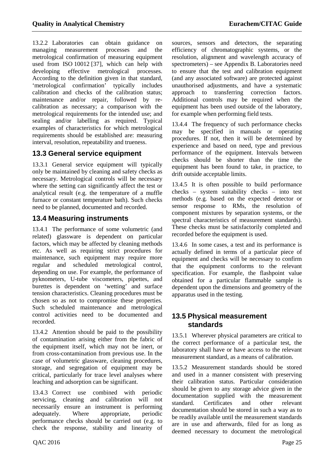13.2.2 Laboratories can obtain guidance on managing measurement processes and the metrological confirmation of measuring equipment used from ISO 10012 [37], which can help with developing effective metrological processes. According to the definition given in that standard, 'metrological confirmation' typically includes calibration and checks of the calibration status; maintenance and/or repair, followed by recalibration as necessary; a comparison with the metrological requirements for the intended use; and sealing and/or labelling as required. Typical examples of characteristics for which metrological requirements should be established are: measuring interval, resolution, repeatability and trueness.

#### **13.3 General service equipment**

13.3.1 General service equipment will typically only be maintained by cleaning and safety checks as necessary. Metrological controls will be necessary where the setting can significantly affect the test or analytical result (e.g. the temperature of a muffle furnace or constant temperature bath). Such checks need to be planned, documented and recorded.

#### **13.4 Measuring instruments**

13.4.1 The performance of some volumetric (and related) glassware is dependent on particular factors, which may be affected by cleaning methods etc. As well as requiring strict procedures for maintenance, such equipment may require more regular and scheduled metrological control, depending on use. For example, the performance of pyknometers, U-tube viscometers, pipettes, and burettes is dependent on 'wetting' and surface tension characteristics. Cleaning procedures must be chosen so as not to compromise these properties. Such scheduled maintenance and metrological control activities need to be documented and recorded.

13.4.2 Attention should be paid to the possibility of contamination arising either from the fabric of the equipment itself, which may not be inert, or from cross-contamination from previous use. In the case of volumetric glassware, cleaning procedures, storage, and segregation of equipment may be critical, particularly for trace level analyses where leaching and adsorption can be significant.

13.4.3 Correct use combined with periodic servicing, cleaning and calibration will not necessarily ensure an instrument is performing adequately. Where appropriate, periodic performance checks should be carried out (e.g. to check the response, stability and linearity of sources, sensors and detectors, the separating efficiency of chromatographic systems, or the resolution, alignment and wavelength accuracy of spectrometers) – see Appendix B. Laboratories need to ensure that the test and calibration equipment (and any associated software) are protected against unauthorised adjustments, and have a systematic approach to transferring correction factors. Additional controls may be required when the equipment has been used outside of the laboratory, for example when performing field tests.

13.4.4 The frequency of such performance checks may be specified in manuals or operating procedures. If not, then it will be determined by experience and based on need, type and previous performance of the equipment. Intervals between checks should be shorter than the time the equipment has been found to take, in practice, to drift outside acceptable limits.

13.4.5 It is often possible to build performance checks – system suitability checks – into test methods (e.g. based on the expected detector or sensor response to RMs, the resolution of component mixtures by separation systems, or the spectral characteristics of measurement standards). These checks must be satisfactorily completed and recorded before the equipment is used.

13.4.6 In some cases, a test and its performance is actually defined in terms of a particular piece of equipment and checks will be necessary to confirm that the equipment conforms to the relevant specification. For example, the flashpoint value obtained for a particular flammable sample is dependent upon the dimensions and geometry of the apparatus used in the testing.

#### **13.5 Physical measurement standards**

13.5.1 Wherever physical parameters are critical to the correct performance of a particular test, the laboratory shall have or have access to the relevant measurement standard, as a means of calibration.

13.5.2 Measurement standards should be stored and used in a manner consistent with preserving their calibration status. Particular consideration should be given to any storage advice given in the documentation supplied with the measurement standard. Certificates and other relevant documentation should be stored in such a way as to be readily available until the measurement standards are in use and afterwards, filed for as long as deemed necessary to document the metrological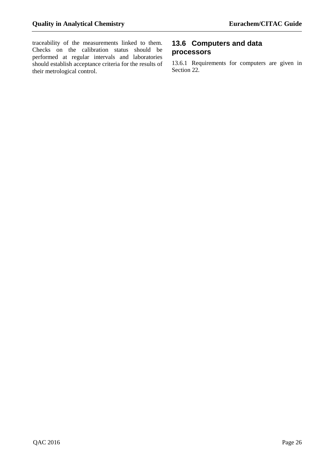traceability of the measurements linked to them. Checks on the calibration status should be performed at regular intervals and laboratories should establish acceptance criteria for the results of their metrological control.

#### **13.6 Computers and data processors**

13.6.1 Requirements for computers are given in Section 22.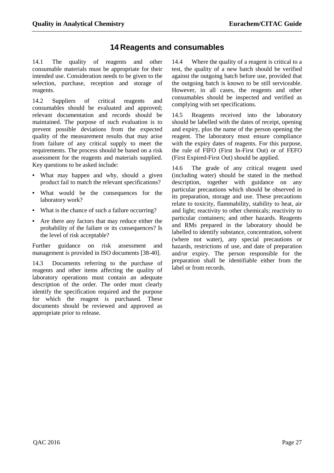#### **14 Reagents and consumables**

14.1 The quality of reagents and other consumable materials must be appropriate for their intended use. Consideration needs to be given to the selection, purchase, reception and storage of reagents.

14.2 Suppliers of critical reagents and consumables should be evaluated and approved; relevant documentation and records should be maintained. The purpose of such evaluation is to prevent possible deviations from the expected quality of the measurement results that may arise from failure of any critical supply to meet the requirements. The process should be based on a risk assessment for the reagents and materials supplied. Key questions to be asked include:

- What may happen and why, should a given product fail to match the relevant specifications?
- What would be the consequences for the laboratory work?
- What is the chance of such a failure occurring?
- Are there any factors that may reduce either the probability of the failure or its consequences? Is the level of risk acceptable?

Further guidance on risk assessment and management is provided in ISO documents [38-40].

14.3 Documents referring to the purchase of reagents and other items affecting the quality of laboratory operations must contain an adequate description of the order. The order must clearly identify the specification required and the purpose for which the reagent is purchased. These documents should be reviewed and approved as appropriate prior to release.

14.4 Where the quality of a reagent is critical to a test, the quality of a new batch should be verified against the outgoing batch before use, provided that the outgoing batch is known to be still serviceable. However, in all cases, the reagents and other consumables should be inspected and verified as complying with set specifications.

14.5 Reagents received into the laboratory should be labelled with the dates of receipt, opening and expiry, plus the name of the person opening the reagent. The laboratory must ensure compliance with the expiry dates of reagents. For this purpose, the rule of FIFO (First In-First Out) or of FEFO (First Expired-First Out) should be applied.

14.6 The grade of any critical reagent used (including water) should be stated in the method description, together with guidance on any particular precautions which should be observed in its preparation, storage and use. These precautions relate to toxicity, flammability, stability to heat, air and light; reactivity to other chemicals; reactivity to particular containers; and other hazards. Reagents and RMs prepared in the laboratory should be labelled to identify substance, concentration, solvent (where not water), any special precautions or hazards, restrictions of use, and date of preparation and/or expiry. The person responsible for the preparation shall be identifiable either from the label or from records.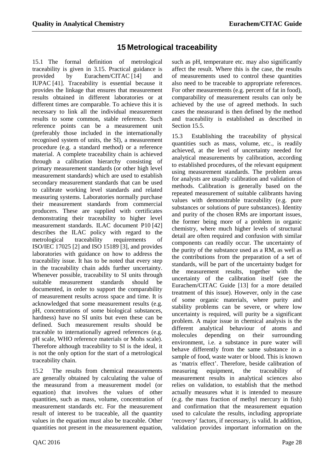# **15 Metrological traceability**

15.1 The formal definition of metrological traceability is given in 3.15. Practical guidance is provided by Eurachem/CITAC [14] and IUPAC [41]. Traceability is essential because it provides the linkage that ensures that measurement results obtained in different laboratories or at different times are comparable. To achieve this it is necessary to link all the individual measurement results to some common, stable reference. Such reference points can be a measurement unit (preferably those included in the internationally recognised system of units, the SI), a measurement procedure (e.g. a standard method) or a reference material. A complete traceability chain is achieved through a calibration hierarchy consisting of primary measurement standards (or other high level measurement standards) which are used to establish secondary measurement standards that can be used to calibrate working level standards and related measuring systems. Laboratories normally purchase their measurement standards from commercial producers. These are supplied with certificates demonstrating their traceability to higher level measurement standards. ILAC document P10 [42] describes the ILAC policy with regard to the metrological traceability requirements of ISO/IEC 17025 [2] and ISO 15189 [3], and provides laboratories with guidance on how to address the traceability issue. It has to be noted that every step in the traceability chain adds further uncertainty. Whenever possible, traceability to SI units through suitable measurement standards should be documented, in order to support the comparability of measurement results across space and time. It is acknowledged that some measurement results (e.g. pH, concentrations of some biological substances, hardness) have no SI units but even these can be defined. Such measurement results should be traceable to internationally agreed references (e.g. pH scale, WHO reference materials or Mohs scale). Therefore although traceability to SI is the ideal, it is not the only option for the start of a metrological traceability chain.

15.2 The results from chemical measurements are generally obtained by calculating the value of the measurand from a measurement model (or equation) that involves the values of other quantities, such as mass, volume, concentration of measurement standards etc. For the measurement result of interest to be traceable, all the quantity values in the equation must also be traceable. Other quantities not present in the measurement equation, such as pH, temperature etc. may also significantly affect the result. Where this is the case, the results of measurements used to control these quantities also need to be traceable to appropriate references. For other measurements (e.g. percent of fat in food), comparability of measurement results can only be achieved by the use of agreed methods. In such cases the measurand is then defined by the method and traceability is established as described in Section 15.5.

15.3 Establishing the traceability of physical quantities such as mass, volume, etc., is readily achieved, at the level of uncertainty needed for analytical measurements by calibration, according to established procedures, of the relevant equipment using measurement standards. The problem areas for analysts are usually calibration and validation of methods. Calibration is generally based on the repeated measurement of suitable calibrants having values with demonstrable traceability (e.g. pure substances or solutions of pure substances). Identity and purity of the chosen RMs are important issues, the former being more of a problem in organic chemistry, where much higher levels of structural detail are often required and confusion with similar components can readily occur. The uncertainty of the purity of the substance used as a RM, as well as the contributions from the preparation of a set of standards, will be part of the uncertainty budget for the measurement results, together with the uncertainty of the calibration itself (see the Eurachem/CITAC Guide [13] for a more detailed treatment of this issue). However, only in the case of some organic materials, where purity and stability problems can be severe, or where low uncertainty is required, will purity be a significant problem. A major issue in chemical analysis is the different analytical behaviour of atoms and molecules depending on their surrounding environment, i.e. a substance in pure water will behave differently from the same substance in a sample of food, waste water or blood. This is known as 'matrix effect'. Therefore, beside calibration of measuring equipment, the traceability of measurement results in analytical sciences also relies on validation, to establish that the method actually measures what it is intended to measure (e.g. the mass fraction of methyl mercury in fish) and confirmation that the measurement equation used to calculate the results, including appropriate 'recovery' factors, if necessary, is valid. In addition, validation provides important information on the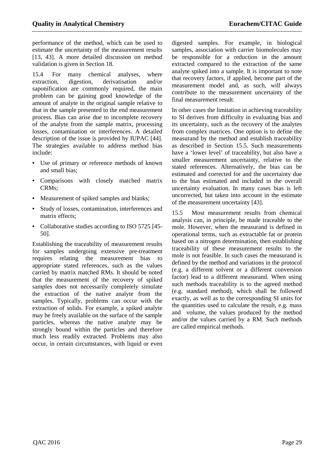performance of the method, which can be used to estimate the uncertainty of the measurement results [13, 43]. A more detailed discussion on method validation is given in Section 18.

15.4 For many chemical analyses, where extraction, digestion, derivatisation and/or saponification are commonly required, the main problem can be gaining good knowledge of the amount of analyte in the original sample relative to that in the sample presented to the end measurement process. Bias can arise due to incomplete recovery of the analyte from the sample matrix, processing losses, contamination or interferences. A detailed description of the issue is provided by IUPAC [44]. The strategies available to address method bias include:

- Use of primary or reference methods of known and small bias;
- Comparisons with closely matched matrix CRMs;
- Measurement of spiked samples and blanks;
- Study of losses, contamination, interferences and matrix effects;
- Collaborative studies according to ISO 5725 [45-50].

Establishing the traceability of measurement results for samples undergoing extensive pre-treatment requires relating the measurement bias to appropriate stated references, such as the values carried by matrix matched RMs. It should be noted that the measurement of the recovery of spiked samples does not necessarily completely simulate the extraction of the native analyte from the samples. Typically, problems can occur with the extraction of solids. For example, a spiked analyte may be freely available on the surface of the sample particles, whereas the native analyte may be strongly bound within the particles and therefore much less readily extracted. Problems may also occur, in certain circumstances, with liquid or even

digested samples. For example, in biological samples, association with carrier biomolecules may be responsible for a reduction in the amount extracted compared to the extraction of the same analyte spiked into a sample. It is important to note that recovery factors, if applied, become part of the measurement model and, as such, will always contribute to the measurement uncertainty of the final measurement result.

In other cases the limitation in achieving traceability to SI derives from difficulty in evaluating bias and its uncertainty, such as the recovery of the analytes from complex matrices. One option is to define the measurand by the method and establish traceability as described in Section 15.5. Such measurements have a 'lower level' of traceability, but also have a smaller measurement uncertainty, relative to the stated references. Alternatively, the bias can be estimated and corrected for and the uncertainty due to the bias estimated and included in the overall uncertainty evaluation. In many cases bias is left uncorrected, but taken into account in the estimate of the measurement uncertainty [43].

15.5 Most measurement results from chemical analysis can, in principle, be made traceable to the mole. However, when the measurand is defined in operational terms, such as extractable fat or protein based on a nitrogen determination, then establishing traceability of these measurement results to the mole is not feasible. In such cases the measurand is defined by the method and variations in the protocol (e.g. a different solvent or a different conversion factor) lead to a different measurand. When using such methods traceability is to the agreed method (e.g. standard method), which shall be followed exactly, as well as to the corresponding SI units for the quantities used to calculate the result, e.g. mass and volume, the values produced by the method and/or the values carried by a RM. Such methods are called empirical methods.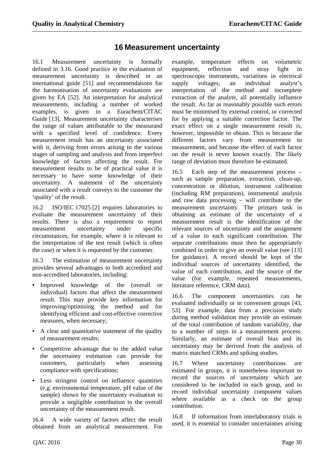#### **16 Measurement uncertainty**

16.1 Measurement uncertainty is formally defined in 3.16. Good practice in the evaluation of measurement uncertainty is described in an international guide [51] and recommendations for the harmonisation of uncertainty evaluations are given by EA [52]. An interpretation for analytical measurements, including a number of worked examples, is given in a Eurachem/CITAC Guide [13]. Measurement uncertainty characterises the range of values attributable to the measurand with a specified level of confidence. Every measurement result has an uncertainty associated with it, deriving from errors arising in the various stages of sampling and analysis and from imperfect knowledge of factors affecting the result. For measurement results to be of practical value it is necessary to have some knowledge of their uncertainty. A statement of the uncertainty associated with a result conveys to the customer the 'quality' of the result.

16.2 ISO/IEC 17025 [2] requires laboratories to evaluate the measurement uncertainty of their results. There is also a requirement to report measurement uncertainty under specific circumstances, for example, where it is relevant to the interpretation of the test result (which is often the case) or when it is requested by the customer.

16.3 The estimation of measurement uncertainty provides several advantages to both accredited and non-accredited laboratories, including:

- Improved knowledge of the (overall or individual) factors that affect the measurement result. This may provide key information for improving/optimising the method and for identifying efficient and cost-effective corrective measures, when necessary;
- A clear and quantitative statement of the quality of measurement results;
- Competitive advantage due to the added value the uncertainty estimation can provide for customers, particularly when assessing compliance with specifications;
- Less stringent control on influence quantities (e.g. environmental temperature, pH value of the sample) shown by the uncertainty evaluation to provide a negligible contribution to the overall uncertainty of the measurement result.

16.4 A wide variety of factors affect the result obtained from an analytical measurement. For example, temperature effects on volumetric equipment, reflection and stray light in spectroscopic instruments, variations in electrical supply voltages, an individual analyst's interpretation of the method and incomplete extraction of the analyte, all potentially influence the result. As far as reasonably possible such errors must be minimised by external control, or corrected for by applying a suitable correction factor. The exact effect on a single measurement result is, however, impossible to obtain. This is because the different factors vary from measurement to measurement, and because the effect of each factor on the result is never known exactly. The likely range of deviation must therefore be estimated.

16.5 Each step of the measurement process – such as sample preparation, extraction, clean-up, concentration or dilution, instrument calibration (including RM preparation), instrumental analysis and raw data processing – will contribute to the measurement uncertainty. The primary task in obtaining an estimate of the uncertainty of a measurement result is the identification of the relevant sources of uncertainty and the assignment of a value to each significant contribution. The separate contributions must then be appropriately combined in order to give an overall value (see [13] for guidance). A record should be kept of the individual sources of uncertainty identified, the value of each contribution, and the source of the value (for example, repeated measurements, literature reference, CRM data).

16.6 The component uncertainties can be evaluated individually or in convenient groups [43, 53]. For example, data from a precision study during method validation may provide an estimate of the total contribution of random variability, due to a number of steps in a measurement process. Similarly, an estimate of overall bias and its uncertainty may be derived from the analysis of matrix matched CRMs and spiking studies.

16.7 Where uncertainty contributions are estimated in groups, it is nonetheless important to record the sources of uncertainty which are considered to be included in each group, and to record individual uncertainty component values where available as a check on the group contribution.

16.8 If information from interlaboratory trials is used, it is essential to consider uncertainties arising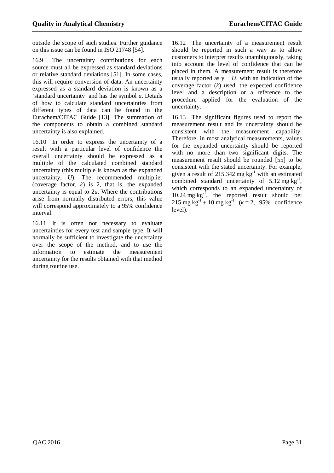outside the scope of such studies. Further guidance on this issue can be found in ISO 21748 [54].

16.9 The uncertainty contributions for each source must all be expressed as standard deviations or relative standard deviations [51]. In some cases, this will require conversion of data. An uncertainty expressed as a standard deviation is known as a 'standard uncertainty' and has the symbol *u*. Details of how to calculate standard uncertainties from different types of data can be found in the Eurachem/CITAC Guide [13]. The summation of the components to obtain a combined standard uncertainty is also explained.

16.10 In order to express the uncertainty of a result with a particular level of confidence the overall uncertainty should be expressed as a multiple of the calculated combined standard uncertainty (this multiple is known as the expanded uncertainty, *U*). The recommended multiplier (coverage factor, *k*) is 2, that is, the expanded uncertainty is equal to 2*u*. Where the contributions arise from normally distributed errors, this value will correspond approximately to a 95% confidence interval.

16.11 It is often not necessary to evaluate uncertainties for every test and sample type. It will normally be sufficient to investigate the uncertainty over the scope of the method, and to use the information to estimate the measurement uncertainty for the results obtained with that method during routine use.

16.12 The uncertainty of a measurement result should be reported in such a way as to allow customers to interpret results unambiguously, taking into account the level of confidence that can be placed in them. A measurement result is therefore usually reported as  $y \pm U$ , with an indication of the coverage factor (*k*) used, the expected confidence level and a description or a reference to the procedure applied for the evaluation of the uncertainty.

16.13 The significant figures used to report the measurement result and its uncertainty should be consistent with the measurement capability. Therefore, in most analytical measurements, values for the expanded uncertainty should be reported with no more than two significant digits. The measurement result should be rounded [55] to be consistent with the stated uncertainty. For example, given a result of 215.342 mg  $kg^{-1}$  with an estimated combined standard uncertainty of  $5.12 \text{ mg kg}^{-1}$ , which corresponds to an expanded uncertainty of 10.24 mg kg<sup>-1</sup>, the reported result should be: 215 mg kg<sup>-1</sup> ± 10 mg kg<sup>-1</sup> ( $k = 2$ , 95% confidence level).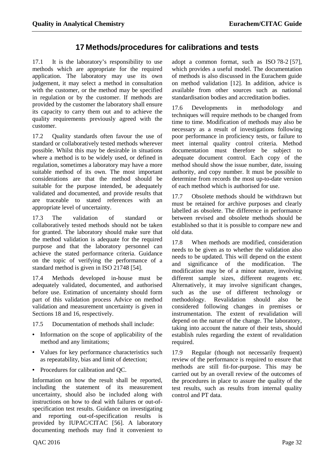#### **17 Methods/procedures for calibrations and tests**

17.1 It is the laboratory's responsibility to use methods which are appropriate for the required application. The laboratory may use its own judgement, it may select a method in consultation with the customer, or the method may be specified in regulation or by the customer. If methods are provided by the customer the laboratory shall ensure its capacity to carry them out and to achieve the quality requirements previously agreed with the customer.

17.2 Quality standards often favour the use of standard or collaboratively tested methods wherever possible. Whilst this may be desirable in situations where a method is to be widely used, or defined in regulation, sometimes a laboratory may have a more suitable method of its own. The most important considerations are that the method should be suitable for the purpose intended, be adequately validated and documented, and provide results that are traceable to stated references with an appropriate level of uncertainty.

17.3 The validation of standard or collaboratively tested methods should not be taken for granted. The laboratory should make sure that the method validation is adequate for the required purpose and that the laboratory personnel can achieve the stated performance criteria. Guidance on the topic of verifying the performance of a standard method is given in ISO 21748 [54].

17.4 Methods developed in-house must be adequately validated, documented, and authorised before use. Estimation of uncertainty should form part of this validation process Advice on method validation and measurement uncertainty is given in Sections 18 and 16, respectively.

- 17.5 Documentation of methods shall include:
- Information on the scope of applicability of the method and any limitations;
- Values for key performance characteristics such as repeatability, bias and limit of detection;
- Procedures for calibration and QC.

Information on how the result shall be reported, including the statement of its measurement uncertainty, should also be included along with instructions on how to deal with failures or out-ofspecification test results. Guidance on investigating and reporting out-of-specification results is provided by IUPAC/CITAC [56]. A laboratory documenting methods may find it convenient to adopt a common format, such as ISO 78-2 [57], which provides a useful model. The documentation of methods is also discussed in the Eurachem guide on method validation [12]. In addition, advice is available from other sources such as national standardisation bodies and accreditation bodies.

17.6 Developments in methodology and techniques will require methods to be changed from time to time. Modification of methods may also be necessary as a result of investigations following poor performance in proficiency tests, or failure to meet internal quality control criteria. Method documentation must therefore be subject to adequate document control. Each copy of the method should show the issue number, date, issuing authority, and copy number. It must be possible to determine from records the most up-to-date version of each method which is authorised for use.

17.7 Obsolete methods should be withdrawn but must be retained for archive purposes and clearly labelled as obsolete. The difference in performance between revised and obsolete methods should be established so that it is possible to compare new and old data.

17.8 When methods are modified, consideration needs to be given as to whether the validation also needs to be updated. This will depend on the extent and significance of the modification. The modification may be of a minor nature, involving different sample sizes, different reagents etc. Alternatively, it may involve significant changes, such as the use of different technology or methodology. Revalidation should also be considered following changes in premises or instrumentation. The extent of revalidation will depend on the nature of the change. The laboratory, taking into account the nature of their tests, should establish rules regarding the extent of revalidation required.

17.9 Regular (though not necessarily frequent) review of the performance is required to ensure that methods are still fit-for-purpose. This may be carried out by an overall review of the outcomes of the procedures in place to assure the quality of the test results, such as results from internal quality control and PT data.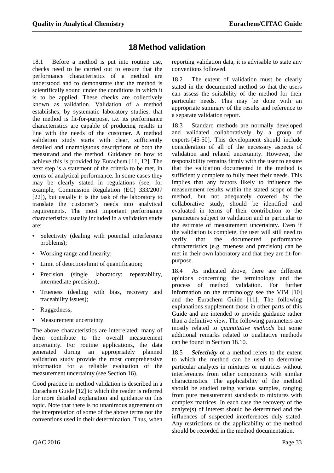# **18 Method validation**

18.1 Before a method is put into routine use, checks need to be carried out to ensure that the performance characteristics of a method are understood and to demonstrate that the method is scientifically sound under the conditions in which it is to be applied. These checks are collectively known as validation. Validation of a method establishes, by systematic laboratory studies, that the method is fit-for-purpose, i.e. its performance characteristics are capable of producing results in line with the needs of the customer. A method validation study starts with clear, sufficiently detailed and unambiguous descriptions of both the measurand and the method. Guidance on how to achieve this is provided by Eurachem [11, 12]. The next step is a statement of the criteria to be met, in terms of analytical performance. In some cases they may be clearly stated in regulations (see, for example, Commission Regulation (EC) 333/2007 [22]), but usually it is the task of the laboratory to translate the customer's needs into analytical requirements. The most important performance characteristics usually included in a validation study are:

- Selectivity (dealing with potential interference problems);
- Working range and linearity;
- Limit of detection/limit of quantification;
- Precision (single laboratory: repeatability, intermediate precision);
- Trueness (dealing with bias, recovery and traceability issues);
- Ruggedness;
- Measurement uncertainty.

The above characteristics are interrelated; many of them contribute to the overall measurement uncertainty. For routine applications, the data generated during an appropriately planned validation study provide the most comprehensive information for a reliable evaluation of the measurement uncertainty (see Section 16).

Good practice in method validation is described in a Eurachem Guide [12] to which the reader is referred for more detailed explanation and guidance on this topic. Note that there is no unanimous agreement on the interpretation of some of the above terms nor the conventions used in their determination. Thus, when

18.2 The extent of validation must be clearly stated in the documented method so that the users can assess the suitability of the method for their particular needs. This may be done with an appropriate summary of the results and reference to a separate validation report.

18.3 Standard methods are normally developed and validated collaboratively by a group of experts [45-50]. This development should include consideration of all of the necessary aspects of validation and related uncertainty. However, the responsibility remains firmly with the user to ensure that the validation documented in the method is sufficiently complete to fully meet their needs. This implies that any factors likely to influence the measurement results within the stated scope of the method, but not adequately covered by the collaborative study, should be identified and evaluated in terms of their contribution to the parameters subject to validation and in particular to the estimate of measurement uncertainty. Even if the validation is complete, the user will still need to verify that the documented performance characteristics (e.g. trueness and precision) can be met in their own laboratory and that they are fit-forpurpose.

18.4 As indicated above, there are different opinions concerning the terminology and the process of method validation. For further information on the terminology see the VIM [10] and the Eurachem Guide [11]. The following explanations supplement those in other parts of this Guide and are intended to provide guidance rather than a definitive view. The following parameters are mostly related to *quantitative methods* but some additional remarks related to qualitative methods can be found in Section 18.10.

18.5 *Selectivity* of a method refers to the extent to which the method can be used to determine particular analytes in mixtures or matrices without interferences from other components with similar characteristics. The applicability of the method should be studied using various samples, ranging from pure measurement standards to mixtures with complex matrices. In each case the recovery of the analyte(s) of interest should be determined and the influences of suspected interferences duly stated. Any restrictions on the applicability of the method should be recorded in the method documentation.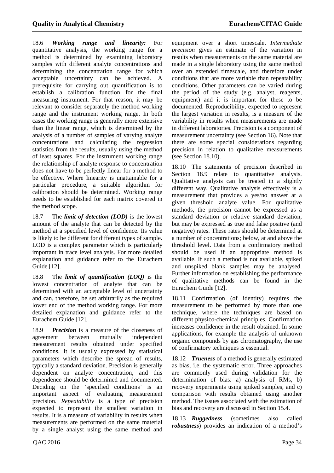18.6 *Working range and linearity:* For quantitative analysis, the working range for a method is determined by examining laboratory samples with different analyte concentrations and determining the concentration range for which acceptable uncertainty can be achieved. A prerequisite for carrying out quantification is to establish a calibration function for the final measuring instrument. For that reason, it may be relevant to consider separately the method working range and the instrument working range. In both cases the working range is generally more extensive than the linear range, which is determined by the analysis of a number of samples of varying analyte concentrations and calculating the regression statistics from the results, usually using the method of least squares. For the instrument working range the relationship of analyte response to concentration does not have to be perfectly linear for a method to be effective. Where linearity is unattainable for a particular procedure, a suitable algorithm for calibration should be determined. Working range needs to be established for each matrix covered in the method scope.

18.7 The *limit of detection (LOD)* is the lowest amount of the analyte that can be detected by the method at a specified level of confidence. Its value is likely to be different for different types of sample. LOD is a complex parameter which is particularly important in trace level analysis. For more detailed explanation and guidance refer to the Eurachem Guide [12].

18.8 The *limit of quantification (LOQ)* is the lowest concentration of analyte that can be determined with an acceptable level of uncertainty and can, therefore, be set arbitrarily as the required lower end of the method working range. For more detailed explanation and guidance refer to the Eurachem Guide [12].

18.9 *Precision* is a measure of the closeness of agreement between mutually independent measurement results obtained under specified conditions. It is usually expressed by statistical parameters which describe the spread of results, typically a standard deviation. Precision is generally dependent on analyte concentration, and this dependence should be determined and documented. Deciding on the 'specified conditions' is an important aspect of evaluating measurement precision. *Repeatability* is a type of precision expected to represent the smallest variation in results. It is a measure of variability in results when measurements are performed on the same material by a single analyst using the same method and equipment over a short timescale. *Intermediate precision* gives an estimate of the variation in results when measurements on the same material are made in a single laboratory using the same method over an extended timescale, and therefore under conditions that are more variable than repeatability conditions. Other parameters can be varied during the period of the study (e.g. analyst, reagents, equipment) and it is important for these to be documented. Reproducibility, expected to represent the largest variation in results, is a measure of the variability in results when measurements are made in different laboratories. Precision is a component of measurement uncertainty (see Section 16). Note that there are some special considerations regarding precision in relation to qualitative measurements (see Section 18.10).

18.10 The statements of precision described in Section 18.9 relate to quantitative analysis. Qualitative analysis can be treated in a slightly different way. Qualitative analysis effectively is a measurement that provides a yes/no answer at a given threshold analyte value. For qualitative methods, the precision cannot be expressed as a standard deviation or relative standard deviation, but may be expressed as true and false positive (and negative) rates. These rates should be determined at a number of concentrations; below, at and above the threshold level. Data from a confirmatory method should be used if an appropriate method is available. If such a method is not available, spiked and unspiked blank samples may be analysed. Further information on establishing the performance of qualitative methods can be found in the Eurachem Guide [12].

18.11 Confirmation (of identity) requires the measurement to be performed by more than one technique, where the techniques are based on different physico-chemical principles. Confirmation increases confidence in the result obtained. In some applications, for example the analysis of unknown organic compounds by gas chromatography, the use of confirmatory techniques is essential.

18.12 *Trueness* of a method is generally estimated as bias, i.e. the systematic error. Three approaches are commonly used during validation for the determination of bias: a) analysis of RMs, b) recovery experiments using spiked samples, and c) comparison with results obtained using another method. The issues associated with the estimation of bias and recovery are discussed in Section 15.4.

18.13 *Ruggedness* (sometimes also called *robustness*) provides an indication of a method's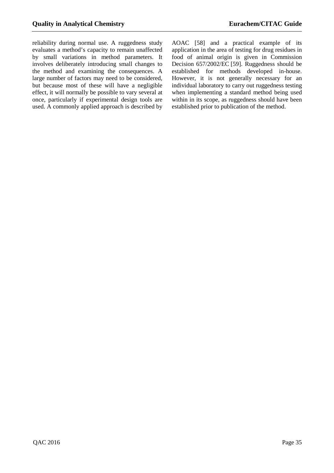reliability during normal use. A ruggedness study evaluates a method's capacity to remain unaffected by small variations in method parameters. It involves deliberately introducing small changes to the method and examining the consequences. A large number of factors may need to be considered, but because most of these will have a negligible effect, it will normally be possible to vary several at once, particularly if experimental design tools are used. A commonly applied approach is described by AOAC [58] and a practical example of its application in the area of testing for drug residues in food of animal origin is given in Commission Decision 657/2002/EC [59]. Ruggedness should be established for methods developed in-house. However, it is not generally necessary for an individual laboratory to carry out ruggedness testing when implementing a standard method being used within in its scope, as ruggedness should have been established prior to publication of the method.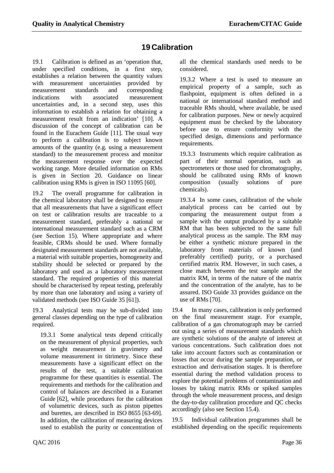# **19 Calibration**

19.1 Calibration is defined as an 'operation that, under specified conditions, in a first step, establishes a relation between the quantity values with measurement uncertainties provided by measurement standards and corresponding indications with associated measurement uncertainties and, in a second step, uses this information to establish a relation for obtaining a measurement result from an indication' [10]. A discussion of the concept of calibration can be found in the Eurachem Guide [11]. The usual way to perform a calibration is to subject known amounts of the quantity (e.g. using a measurement standard) to the measurement process and monitor the measurement response over the expected working range. More detailed information on RMs is given in Section 20. Guidance on linear calibration using RMs is given in ISO 11095 [60].

19.2 The overall programme for calibration in the chemical laboratory shall be designed to ensure that all measurements that have a significant effect on test or calibration results are traceable to a measurement standard, preferably a national or international measurement standard such as a CRM (see Section 15). Where appropriate and where feasible, CRMs should be used. Where formally designated measurement standards are not available, a material with suitable properties, homogeneity and stability should be selected or prepared by the laboratory and used as a laboratory measurement standard. The required properties of this material should be characterised by repeat testing, preferably by more than one laboratory and using a variety of validated methods (see ISO Guide 35 [61]).

19.3 Analytical tests may be sub-divided into general classes depending on the type of calibration required.

19.3.1 Some analytical tests depend critically on the measurement of physical properties, such as weight measurement in gravimetry and volume measurement in titrimetry. Since these measurements have a significant effect on the results of the test, a suitable calibration programme for these quantities is essential. The requirements and methods for the calibration and control of balances are described in a Euramet Guide [62], while procedures for the calibration of volumetric devices, such as piston pipettes and burettes, are described in ISO 8655 [63-69]. In addition, the calibration of measuring devices used to establish the purity or concentration of all the chemical standards used needs to be considered.

19.3.2 Where a test is used to measure an empirical property of a sample, such as flashpoint, equipment is often defined in a national or international standard method and traceable RMs should, where available, be used for calibration purposes. New or newly acquired equipment must be checked by the laboratory before use to ensure conformity with the specified design, dimensions and performance requirements.

19.3.3 Instruments which require calibration as part of their normal operation, such as spectrometers or those used for chromatography, should be calibrated using RMs of known composition (usually solutions of pure chemicals).

19.3.4 In some cases, calibration of the whole analytical process can be carried out by comparing the measurement output from a sample with the output produced by a suitable RM that has been subjected to the same full analytical process as the sample. The RM may be either a synthetic mixture prepared in the laboratory from materials of known (and preferably certified) purity, or a purchased certified matrix RM. However, in such cases, a close match between the test sample and the matrix RM, in terms of the nature of the matrix and the concentration of the analyte, has to be assured. ISO Guide 33 provides guidance on the use of RMs [70].

19.4 In many cases, calibration is only performed on the final measurement stage. For example, calibration of a gas chromatograph may be carried out using a series of measurement standards which are synthetic solutions of the analyte of interest at various concentrations. Such calibration does not take into account factors such as contamination or losses that occur during the sample preparation, or extraction and derivatisation stages. It is therefore essential during the method validation process to explore the potential problems of contamination and losses by taking matrix RMs or spiked samples through the whole measurement process, and design the day-to-day calibration procedure and QC checks accordingly (also see Section 15.4).

19.5 Individual calibration programmes shall be established depending on the specific requirements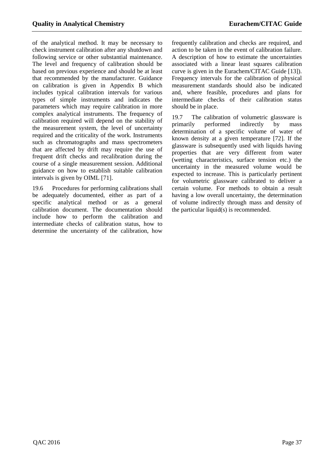of the analytical method. It may be necessary to check instrument calibration after any shutdown and following service or other substantial maintenance. The level and frequency of calibration should be based on previous experience and should be at least that recommended by the manufacturer. Guidance on calibration is given in Appendix B which includes typical calibration intervals for various types of simple instruments and indicates the parameters which may require calibration in more complex analytical instruments. The frequency of calibration required will depend on the stability of the measurement system, the level of uncertainty required and the criticality of the work. Instruments such as chromatographs and mass spectrometers that are affected by drift may require the use of frequent drift checks and recalibration during the course of a single measurement session. Additional guidance on how to establish suitable calibration intervals is given by OIML [71].

19.6 Procedures for performing calibrations shall be adequately documented, either as part of a specific analytical method or as a general calibration document. The documentation should include how to perform the calibration and intermediate checks of calibration status, how to determine the uncertainty of the calibration, how frequently calibration and checks are required, and action to be taken in the event of calibration failure. A description of how to estimate the uncertainties associated with a linear least squares calibration curve is given in the Eurachem/CITAC Guide [13]). Frequency intervals for the calibration of physical measurement standards should also be indicated and, where feasible, procedures and plans for intermediate checks of their calibration status should be in place.

19.7 The calibration of volumetric glassware is primarily performed indirectly by mass determination of a specific volume of water of known density at a given temperature [72]. If the glassware is subsequently used with liquids having properties that are very different from water (wetting characteristics, surface tension etc.) the uncertainty in the measured volume would be expected to increase. This is particularly pertinent for volumetric glassware calibrated to deliver a certain volume. For methods to obtain a result having a low overall uncertainty, the determination of volume indirectly through mass and density of the particular liquid(s) is recommended.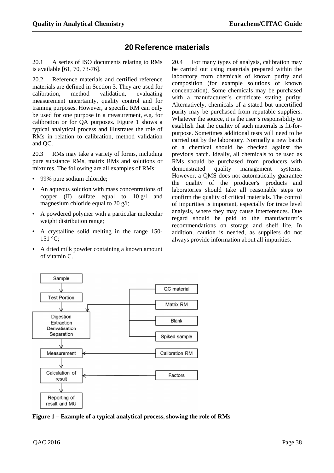#### **20 Reference materials**

20.1 A series of ISO documents relating to RMs is available [61, 70, 73-76].

20.2 Reference materials and certified reference materials are defined in Section 3. They are used for calibration, method validation, evaluating measurement uncertainty, quality control and for training purposes. However, a specific RM can only be used for one purpose in a measurement, e.g. for calibration or for QA purposes. Figure 1 shows a typical analytical process and illustrates the role of RMs in relation to calibration, method validation and QC.

20.3 RMs may take a variety of forms, including pure substance RMs, matrix RMs and solutions or mixtures. The following are all examples of RMs:

- 99% pure sodium chloride;
- An aqueous solution with mass concentrations of copper (II) sulfate equal to  $10 \text{ g}/\text{l}$  and magnesium chloride equal to 20 g/l;
- A powdered polymer with a particular molecular weight distribution range;
- A crystalline solid melting in the range 150- 151 °C;
- A dried milk powder containing a known amount of vitamin C.

20.4 For many types of analysis, calibration may be carried out using materials prepared within the laboratory from chemicals of known purity and composition (for example solutions of known concentration). Some chemicals may be purchased with a manufacturer's certificate stating purity. Alternatively, chemicals of a stated but uncertified purity may be purchased from reputable suppliers. Whatever the source, it is the user's responsibility to establish that the quality of such materials is fit-forpurpose. Sometimes additional tests will need to be carried out by the laboratory. Normally a new batch of a chemical should be checked against the previous batch. Ideally, all chemicals to be used as RMs should be purchased from producers with demonstrated quality management systems. However, a QMS does not automatically guarantee the quality of the producer's products and laboratories should take all reasonable steps to confirm the quality of critical materials. The control of impurities is important, especially for trace level analysis, where they may cause interferences. Due regard should be paid to the manufacturer's recommendations on storage and shelf life. In addition, caution is needed, as suppliers do not always provide information about all impurities.



**Figure 1 – Example of a typical analytical process, showing the role of RMs**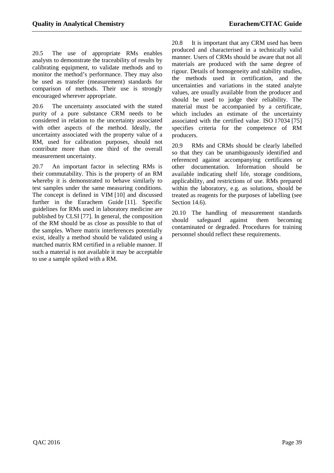20.5 The use of appropriate RMs enables analysts to demonstrate the traceability of results by calibrating equipment, to validate methods and to monitor the method's performance. They may also be used as transfer (measurement) standards for comparison of methods. Their use is strongly encouraged wherever appropriate.

20.6 The uncertainty associated with the stated purity of a pure substance CRM needs to be considered in relation to the uncertainty associated with other aspects of the method. Ideally, the uncertainty associated with the property value of a RM, used for calibration purposes, should not contribute more than one third of the overall measurement uncertainty.

20.7 An important factor in selecting RMs is their commutability. This is the property of an RM whereby it is demonstrated to behave similarly to test samples under the same measuring conditions. The concept is defined in VIM [10] and discussed further in the Eurachem Guide [11]. Specific guidelines for RMs used in laboratory medicine are published by CLSI [77]. In general, the composition of the RM should be as close as possible to that of the samples. Where matrix interferences potentially exist, ideally a method should be validated using a matched matrix RM certified in a reliable manner. If such a material is not available it may be acceptable to use a sample spiked with a RM.

20.8 It is important that any CRM used has been produced and characterised in a technically valid manner. Users of CRMs should be aware that not all materials are produced with the same degree of rigour. Details of homogeneity and stability studies, the methods used in certification, and the uncertainties and variations in the stated analyte values, are usually available from the producer and should be used to judge their reliability. The material must be accompanied by a certificate, which includes an estimate of the uncertainty associated with the certified value. ISO 17034 [75] specifies criteria for the competence of RM producers.

20.9 RMs and CRMs should be clearly labelled so that they can be unambiguously identified and referenced against accompanying certificates or other documentation. Information should be available indicating shelf life, storage conditions, applicability, and restrictions of use. RMs prepared within the laboratory, e.g. as solutions, should be treated as reagents for the purposes of labelling (see Section 14.6).

20.10 The handling of measurement standards should safeguard against them becoming contaminated or degraded. Procedures for training personnel should reflect these requirements.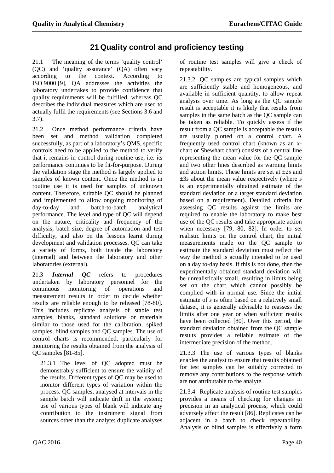# **21 Quality control and proficiency testing**

21.1 The meaning of the terms 'quality control' (QC) and 'quality assurance' (QA) often vary according to the context. According to ISO 9000 [9], QA addresses the activities the laboratory undertakes to provide confidence that quality requirements will be fulfilled, whereas QC describes the individual measures which are used to actually fulfil the requirements (see Sections 3.6 and 3.7).

21.2 Once method performance criteria have been set and method validation completed successfully, as part of a laboratory's QMS, specific controls need to be applied to the method to verify that it remains in control during routine use, i.e. its performance continues to be fit-for-purpose. During the validation stage the method is largely applied to samples of known content. Once the method is in routine use it is used for samples of unknown content. Therefore, suitable QC should be planned and implemented to allow ongoing monitoring of day-to-day and batch-to-batch analytical performance. The level and type of QC will depend on the nature, criticality and frequency of the analysis, batch size, degree of automation and test difficulty, and also on the lessons learnt during development and validation processes. QC can take a variety of forms, both inside the laboratory (internal) and between the laboratory and other laboratories (external).

21.3 *Internal QC* refers to procedures undertaken by laboratory personnel for the continuous monitoring of operations and measurement results in order to decide whether results are reliable enough to be released [78-80]. This includes replicate analysis of stable test samples, blanks, standard solutions or materials similar to those used for the calibration, spiked samples, blind samples and QC samples. The use of control charts is recommended, particularly for monitoring the results obtained from the analysis of QC samples [81-85].

21.3.1 The level of QC adopted must be demonstrably sufficient to ensure the validity of the results. Different types of QC may be used to monitor different types of variation within the process. QC samples, analysed at intervals in the sample batch will indicate drift in the system; use of various types of blank will indicate any contribution to the instrument signal from sources other than the analyte; duplicate analyses

of routine test samples will give a check of repeatability.

21.3.2 QC samples are typical samples which are sufficiently stable and homogeneous, and available in sufficient quantity, to allow repeat analysis over time. As long as the QC sample result is acceptable it is likely that results from samples in the same batch as the QC sample can be taken as reliable. To quickly assess if the result from a QC sample is acceptable the results are usually plotted on a control chart. A frequently used control chart (known as an xchart or Shewhart chart) consists of a central line representing the mean value for the QC sample and two other lines described as warning limits and action limits. These limits are set at ±2*s* and ±3*s* about the mean value respectively (where *s* is an experimentally obtained estimate of the standard deviation or a target standard deviation based on a requirement). Detailed criteria for assessing QC results against the limits are required to enable the laboratory to make best use of the QC results and take appropriate action when necessary [79, 80, 82]. In order to set realistic limits on the control chart, the initial measurements made on the QC sample to estimate the standard deviation must reflect the way the method is actually intended to be used on a day to-day basis. If this is not done, then the experimentally obtained standard deviation will be unrealistically small, resulting in limits being set on the chart which cannot possibly be complied with in normal use. Since the initial estimate of *s* is often based on a relatively small dataset, it is generally advisable to reassess the limits after one year or when sufficient results have been collected [80]. Over this period, the standard deviation obtained from the QC sample results provides a reliable estimate of the intermediate precision of the method.

21.3.3 The use of various types of blanks enables the analyst to ensure that results obtained for test samples can be suitably corrected to remove any contributions to the response which are not attributable to the analyte.

21.3.4 Replicate analysis of routine test samples provides a means of checking for changes in precision in an analytical process, which could adversely affect the result [86]. Replicates can be adjacent in a batch to check repeatability. Analysis of blind samples is effectively a form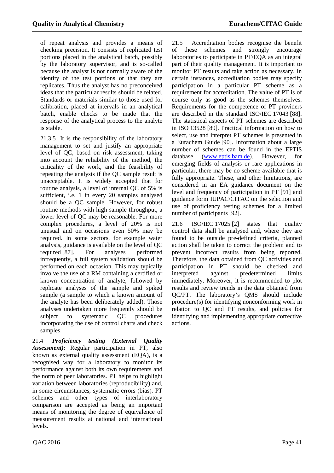of repeat analysis and provides a means of checking precision. It consists of replicated test portions placed in the analytical batch, possibly by the laboratory supervisor, and is so-called because the analyst is not normally aware of the identity of the test portions or that they are replicates. Thus the analyst has no preconceived ideas that the particular results should be related. Standards or materials similar to those used for calibration, placed at intervals in an analytical batch, enable checks to be made that the response of the analytical process to the analyte is stable.

21.3.5 It is the responsibility of the laboratory management to set and justify an appropriate level of QC, based on risk assessment, taking into account the reliability of the method, the criticality of the work, and the feasibility of repeating the analysis if the QC sample result is unacceptable. It is widely accepted that for routine analysis, a level of internal QC of 5% is sufficient, i.e. 1 in every 20 samples analysed should be a QC sample. However, for robust routine methods with high sample throughput, a lower level of QC may be reasonable. For more complex procedures, a level of 20% is not unusual and on occasions even 50% may be required. In some sectors, for example water analysis, guidance is available on the level of QC required [87]. For analyses performed infrequently, a full system validation should be performed on each occasion. This may typically involve the use of a RM containing a certified or known concentration of analyte, followed by replicate analyses of the sample and spiked sample (a sample to which a known amount of the analyte has been deliberately added). Those analyses undertaken more frequently should be subject to systematic QC procedures incorporating the use of control charts and check samples.

21.4 *Proficiency testing (External Quality Assessment):* Regular participation in PT, also known as external quality assessment (EQA), is a recognised way for a laboratory to monitor its performance against both its own requirements and the norm of peer laboratories. PT helps to highlight variation between laboratories (reproducibility) and, in some circumstances, systematic errors (bias). PT schemes and other types of interlaboratory comparison are accepted as being an important means of monitoring the degree of equivalence of measurement results at national and international levels.

21.5 Accreditation bodies recognise the benefit of these schemes and strongly encourage laboratories to participate in PT/EQA as an integral part of their quality management. It is important to monitor PT results and take action as necessary. In certain instances, accreditation bodies may specify participation in a particular PT scheme as a requirement for accreditation. The value of PT is of course only as good as the schemes themselves. Requirements for the competence of PT providers are described in the standard ISO/IEC 17043 [88]. The statistical aspects of PT schemes are described in ISO 13528 [89]. Practical information on how to select, use and interpret PT schemes is presented in a Eurachem Guide [90]. Information about a large number of schemes can be found in the EPTIS database (www.eptis.bam.de). However, for emerging fields of analysis or rare applications in particular, there may be no scheme available that is fully appropriate. These, and other limitations, are considered in an EA guidance document on the level and frequency of participation in PT [91] and guidance form IUPAC/CITAC on the selection and use of proficiency testing schemes for a limited number of participants [92].

21.6 ISO/IEC 17025 [2] states that quality control data shall be analysed and, where they are found to be outside pre-defined criteria, planned action shall be taken to correct the problem and to prevent incorrect results from being reported. Therefore, the data obtained from QC activities and participation in PT should be checked and interpreted against predetermined limits immediately. Moreover, it is recommended to plot results and review trends in the data obtained from QC/PT. The laboratory's QMS should include procedure(s) for identifying nonconforming work in relation to QC and PT results, and policies for identifying and implementing appropriate corrective actions.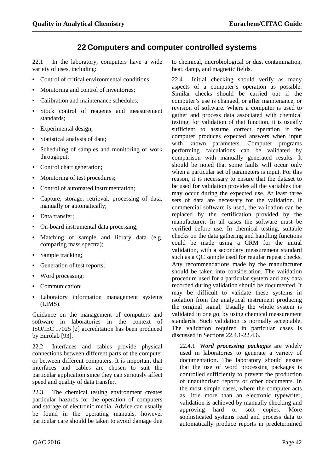#### **22 Computers and computer controlled systems**

22.1 In the laboratory, computers have a wide variety of uses, including:

- Control of critical environmental conditions;
- Monitoring and control of inventories;
- Calibration and maintenance schedules;
- Stock control of reagents and measurement standards;
- Experimental design;
- Statistical analysis of data;
- Scheduling of samples and monitoring of work throughput;
- Control chart generation;
- Monitoring of test procedures;
- Control of automated instrumentation:
- Capture, storage, retrieval, processing of data, manually or automatically;
- Data transfer;
- On-board instrumental data processing;
- Matching of sample and library data (e.g. comparing mass spectra);
- Sample tracking;
- Generation of test reports;
- Word processing;
- Communication;
- Laboratory information management systems (LIMS).

Guidance on the management of computers and software in laboratories in the context of ISO/IEC 17025 [2] accreditation has been produced by Eurolab [93].

22.2 Interfaces and cables provide physical connections between different parts of the computer or between different computers. It is important that interfaces and cables are chosen to suit the particular application since they can seriously affect speed and quality of data transfer.

22.3 The chemical testing environment creates particular hazards for the operation of computers and storage of electronic media. Advice can usually be found in the operating manuals, however particular care should be taken to avoid damage due to chemical, microbiological or dust contamination, heat, damp, and magnetic fields.

22.4 Initial checking should verify as many aspects of a computer's operation as possible. Similar checks should be carried out if the computer's use is changed, or after maintenance, or revision of software. Where a computer is used to gather and process data associated with chemical testing, for validation of that function, it is usually sufficient to assume correct operation if the computer produces expected answers when input with known parameters. Computer programs performing calculations can be validated by comparison with manually generated results. It should be noted that some faults will occur only when a particular set of parameters is input. For this reason, it is necessary to ensure that the dataset to be used for validation provides all the variables that may occur during the expected use. At least three sets of data are necessary for the validation. If commercial software is used, the validation can be replaced by the certification provided by the manufacturer. In all cases the software must be verified before use. In chemical testing, suitable checks on the data gathering and handling functions could be made using a CRM for the initial validation, with a secondary measurement standard such as a QC sample used for regular repeat checks. Any recommendations made by the manufacturer should be taken into consideration. The validation procedure used for a particular system and any data recorded during validation should be documented. It may be difficult to validate these systems in isolation from the analytical instrument producing the original signal. Usually the whole system is validated in one go, by using chemical measurement standards. Such validation is normally acceptable. The validation required in particular cases is discussed in Sections 22.4.1-22.4.6.

22.4.1 *Word processing packages* are widely used in laboratories to generate a variety of documentation. The laboratory should ensure that the use of word processing packages is controlled sufficiently to prevent the production of unauthorised reports or other documents. In the most simple cases, where the computer acts as little more than an electronic typewriter, validation is achieved by manually checking and approving hard or soft copies. More sophisticated systems read and process data to automatically produce reports in predetermined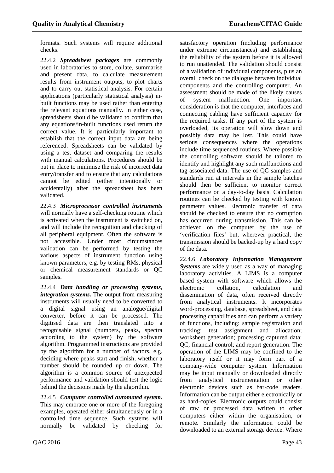formats. Such systems will require additional checks.

22.4.2 *Spreadsheet packages* are commonly used in laboratories to store, collate, summarise and present data, to calculate measurement results from instrument outputs, to plot charts and to carry out statistical analysis. For certain applications (particularly statistical analysis) inbuilt functions may be used rather than entering the relevant equations manually. In either case, spreadsheets should be validated to confirm that any equations/in-built functions used return the correct value. It is particularly important to establish that the correct input data are being referenced. Spreadsheets can be validated by using a test dataset and comparing the results with manual calculations. Procedures should be put in place to minimise the risk of incorrect data entry/transfer and to ensure that any calculations cannot be edited (either intentionally or accidentally) after the spreadsheet has been validated.

22.4.3 *Microprocessor controlled instruments* will normally have a self-checking routine which is activated when the instrument is switched on, and will include the recognition and checking of all peripheral equipment. Often the software is not accessible. Under most circumstances validation can be performed by testing the various aspects of instrument function using known parameters, e.g. by testing RMs, physical or chemical measurement standards or QC samples.

22.4.4 *Data handling or processing systems, integration systems.* The output from measuring instruments will usually need to be converted to a digital signal using an analogue/digital converter, before it can be processed. The digitised data are then translated into a recognisable signal (numbers, peaks, spectra according to the system) by the software algorithm. Programmed instructions are provided by the algorithm for a number of factors, e.g. deciding where peaks start and finish, whether a number should be rounded up or down. The algorithm is a common source of unexpected performance and validation should test the logic behind the decisions made by the algorithm.

22.4.5 *Computer controlled automated system.* This may embrace one or more of the foregoing examples, operated either simultaneously or in a controlled time sequence. Such systems will normally be validated by checking for

satisfactory operation (including performance under extreme circumstances) and establishing the reliability of the system before it is allowed to run unattended. The validation should consist of a validation of individual components, plus an overall check on the dialogue between individual components and the controlling computer. An assessment should be made of the likely causes of system malfunction. One important consideration is that the computer, interfaces and connecting cabling have sufficient capacity for the required tasks. If any part of the system is overloaded, its operation will slow down and possibly data may be lost. This could have serious consequences where the operations include time sequenced routines. Where possible the controlling software should be tailored to identify and highlight any such malfunctions and tag associated data. The use of QC samples and standards run at intervals in the sample batches should then be sufficient to monitor correct performance on a day-to-day basis. Calculation routines can be checked by testing with known parameter values. Electronic transfer of data should be checked to ensure that no corruption has occurred during transmission. This can be achieved on the computer by the use of 'verification files' but, wherever practical, the transmission should be backed-up by a hard copy of the data.

22.4.6 *Laboratory Information Management Systems* are widely used as a way of managing laboratory activities. A LIMS is a computer based system with software which allows the electronic collation, calculation and dissemination of data, often received directly from analytical instruments. It incorporates word-processing, database, spreadsheet, and data processing capabilities and can perform a variety of functions, including: sample registration and tracking; test assignment and allocation; worksheet generation; processing captured data; QC; financial control; and report generation. The operation of the LIMS may be confined to the laboratory itself or it may form part of a company-wide computer system. Information may be input manually or downloaded directly from analytical instrumentation or other electronic devices such as bar-code readers. Information can be output either electronically or as hard-copies. Electronic outputs could consist of raw or processed data written to other computers either within the organisation, or remote. Similarly the information could be downloaded to an external storage device. Where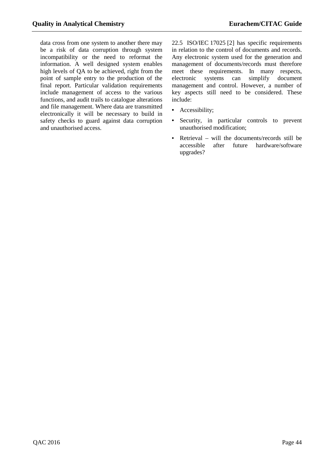data cross from one system to another there may be a risk of data corruption through system incompatibility or the need to reformat the information. A well designed system enables high levels of QA to be achieved, right from the point of sample entry to the production of the final report. Particular validation requirements include management of access to the various functions, and audit trails to catalogue alterations and file management. Where data are transmitted electronically it will be necessary to build in safety checks to guard against data corruption and unauthorised access.

22.5 ISO/IEC 17025 [2] has specific requirements in relation to the control of documents and records. Any electronic system used for the generation and management of documents/records must therefore meet these requirements. In many respects, electronic systems can simplify document management and control. However, a number of key aspects still need to be considered. These include:

- Accessibility;
- Security, in particular controls to prevent unauthorised modification;
- Retrieval will the documents/records still be accessible after future hardware/software upgrades?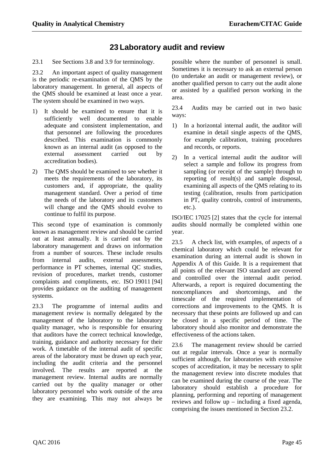#### **23 Laboratory audit and review**

23.1 See Sections 3.8 and 3.9 for terminology.

23.2 An important aspect of quality management is the periodic re-examination of the QMS by the laboratory management. In general, all aspects of the QMS should be examined at least once a year. The system should be examined in two ways.

- 1) It should be examined to ensure that it is sufficiently well documented to enable adequate and consistent implementation, and that personnel are following the procedures described. This examination is commonly known as an internal audit (as opposed to the external assessment carried out by accreditation bodies).
- 2) The QMS should be examined to see whether it meets the requirements of the laboratory, its customers and, if appropriate, the quality management standard. Over a period of time the needs of the laboratory and its customers will change and the QMS should evolve to continue to fulfil its purpose.

This second type of examination is commonly known as management review and should be carried out at least annually. It is carried out by the laboratory management and draws on information from a number of sources. These include results from internal audits, external assessments, performance in PT schemes, internal QC studies, revision of procedures, market trends, customer complaints and compliments, etc. ISO 19011 [94] provides guidance on the auditing of management systems.

23.3 The programme of internal audits and management review is normally delegated by the management of the laboratory to the laboratory quality manager, who is responsible for ensuring that auditors have the correct technical knowledge, training, guidance and authority necessary for their work. A timetable of the internal audit of specific areas of the laboratory must be drawn up each year, including the audit criteria and the personnel involved. The results are reported at the management review. Internal audits are normally carried out by the quality manager or other laboratory personnel who work outside of the area they are examining. This may not always be possible where the number of personnel is small. Sometimes it is necessary to ask an external person (to undertake an audit or management review), or another qualified person to carry out the audit alone or assisted by a qualified person working in the area.

23.4 Audits may be carried out in two basic ways:

- 1) In a horizontal internal audit, the auditor will examine in detail single aspects of the QMS, for example calibration, training procedures and records, or reports.
- 2) In a vertical internal audit the auditor will select a sample and follow its progress from sampling (or receipt of the sample) through to reporting of result(s) and sample disposal, examining all aspects of the QMS relating to its testing (calibration, results from participation in PT, quality controls, control of instruments, etc.).

ISO/IEC 17025 [2] states that the cycle for internal audits should normally be completed within one year.

23.5 A check list, with examples, of aspects of a chemical laboratory which could be relevant for examination during an internal audit is shown in Appendix A of this Guide. It is a requirement that all points of the relevant ISO standard are covered and controlled over the internal audit period. Afterwards, a report is required documenting the noncompliances and shortcomings, and the timescale of the required implementation of corrections and improvements to the QMS. It is necessary that these points are followed up and can be closed in a specific period of time. The laboratory should also monitor and demonstrate the effectiveness of the actions taken.

23.6 The management review should be carried out at regular intervals. Once a year is normally sufficient although, for laboratories with extensive scopes of accreditation, it may be necessary to split the management review into discrete modules that can be examined during the course of the year. The laboratory should establish a procedure for planning, performing and reporting of management reviews and follow up – including a fixed agenda, comprising the issues mentioned in Section 23.2.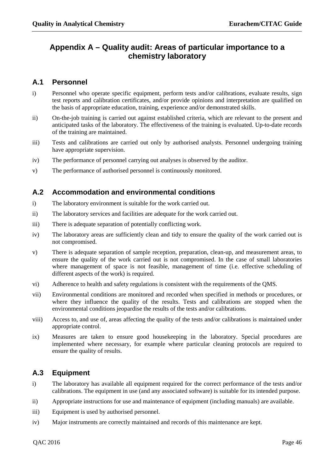#### **Appendix A – Quality audit: Areas of particular importance to a chemistry laboratory**

#### **A.1 Personnel**

- i) Personnel who operate specific equipment, perform tests and/or calibrations, evaluate results, sign test reports and calibration certificates, and/or provide opinions and interpretation are qualified on the basis of appropriate education, training, experience and/or demonstrated skills.
- ii) On-the-job training is carried out against established criteria, which are relevant to the present and anticipated tasks of the laboratory. The effectiveness of the training is evaluated. Up-to-date records of the training are maintained.
- iii) Tests and calibrations are carried out only by authorised analysts. Personnel undergoing training have appropriate supervision.
- iv) The performance of personnel carrying out analyses is observed by the auditor.
- v) The performance of authorised personnel is continuously monitored.

#### **A.2 Accommodation and environmental conditions**

- i) The laboratory environment is suitable for the work carried out.
- ii) The laboratory services and facilities are adequate for the work carried out.
- iii) There is adequate separation of potentially conflicting work.
- iv) The laboratory areas are sufficiently clean and tidy to ensure the quality of the work carried out is not compromised.
- v) There is adequate separation of sample reception, preparation, clean-up, and measurement areas, to ensure the quality of the work carried out is not compromised. In the case of small laboratories where management of space is not feasible, management of time (i.e. effective scheduling of different aspects of the work) is required.
- vi) Adherence to health and safety regulations is consistent with the requirements of the QMS.
- vii) Environmental conditions are monitored and recorded when specified in methods or procedures, or where they influence the quality of the results. Tests and calibrations are stopped when the environmental conditions jeopardise the results of the tests and/or calibrations.
- viii) Access to, and use of, areas affecting the quality of the tests and/or calibrations is maintained under appropriate control.
- ix) Measures are taken to ensure good housekeeping in the laboratory. Special procedures are implemented where necessary, for example where particular cleaning protocols are required to ensure the quality of results.

#### **A.3 Equipment**

- i) The laboratory has available all equipment required for the correct performance of the tests and/or calibrations. The equipment in use (and any associated software) is suitable for its intended purpose.
- ii) Appropriate instructions for use and maintenance of equipment (including manuals) are available.
- iii) Equipment is used by authorised personnel.
- iv) Major instruments are correctly maintained and records of this maintenance are kept.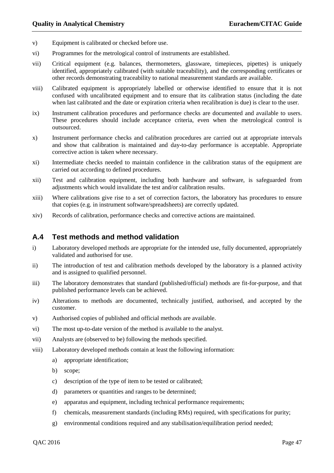- v) Equipment is calibrated or checked before use.
- vi) Programmes for the metrological control of instruments are established.
- vii) Critical equipment (e.g. balances, thermometers, glassware, timepieces, pipettes) is uniquely identified, appropriately calibrated (with suitable traceability), and the corresponding certificates or other records demonstrating traceability to national measurement standards are available.
- viii) Calibrated equipment is appropriately labelled or otherwise identified to ensure that it is not confused with uncalibrated equipment and to ensure that its calibration status (including the date when last calibrated and the date or expiration criteria when recalibration is due) is clear to the user.
- ix) Instrument calibration procedures and performance checks are documented and available to users. These procedures should include acceptance criteria, even when the metrological control is outsourced.
- x) Instrument performance checks and calibration procedures are carried out at appropriate intervals and show that calibration is maintained and day-to-day performance is acceptable. Appropriate corrective action is taken where necessary.
- xi) Intermediate checks needed to maintain confidence in the calibration status of the equipment are carried out according to defined procedures.
- xii) Test and calibration equipment, including both hardware and software, is safeguarded from adjustments which would invalidate the test and/or calibration results.
- xiii) Where calibrations give rise to a set of correction factors, the laboratory has procedures to ensure that copies (e.g. in instrument software/spreadsheets) are correctly updated.
- xiv) Records of calibration, performance checks and corrective actions are maintained.

#### **A.4 Test methods and method validation**

- i) Laboratory developed methods are appropriate for the intended use, fully documented, appropriately validated and authorised for use.
- ii) The introduction of test and calibration methods developed by the laboratory is a planned activity and is assigned to qualified personnel.
- iii) The laboratory demonstrates that standard (published/official) methods are fit-for-purpose, and that published performance levels can be achieved.
- iv) Alterations to methods are documented, technically justified, authorised, and accepted by the customer.
- v) Authorised copies of published and official methods are available.
- vi) The most up-to-date version of the method is available to the analyst.
- vii) Analysts are (observed to be) following the methods specified.
- viii) Laboratory developed methods contain at least the following information:
	- a) appropriate identification;
	- b) scope;
	- c) description of the type of item to be tested or calibrated;
	- d) parameters or quantities and ranges to be determined;
	- e) apparatus and equipment, including technical performance requirements;
	- f) chemicals, measurement standards (including RMs) required, with specifications for purity;
	- g) environmental conditions required and any stabilisation/equilibration period needed;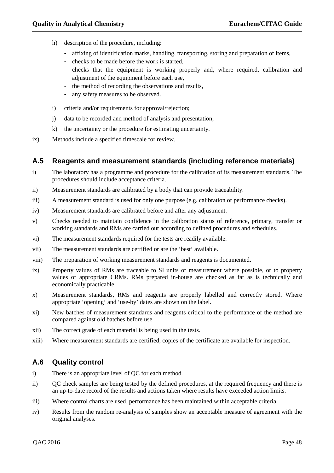- h) description of the procedure, including:
	- affixing of identification marks, handling, transporting, storing and preparation of items,
	- checks to be made before the work is started,
	- checks that the equipment is working properly and, where required, calibration and adjustment of the equipment before each use,
	- the method of recording the observations and results,
	- any safety measures to be observed.
- i) criteria and/or requirements for approval/rejection;
- j) data to be recorded and method of analysis and presentation;
- k) the uncertainty or the procedure for estimating uncertainty.
- ix) Methods include a specified timescale for review.

#### **A.5 Reagents and measurement standards (including reference materials)**

- i) The laboratory has a programme and procedure for the calibration of its measurement standards. The procedures should include acceptance criteria.
- ii) Measurement standards are calibrated by a body that can provide traceability.
- iii) A measurement standard is used for only one purpose (e.g. calibration or performance checks).
- iv) Measurement standards are calibrated before and after any adjustment.
- v) Checks needed to maintain confidence in the calibration status of reference, primary, transfer or working standards and RMs are carried out according to defined procedures and schedules.
- vi) The measurement standards required for the tests are readily available.
- vii) The measurement standards are certified or are the 'best' available.
- viii) The preparation of working measurement standards and reagents is documented.
- ix) Property values of RMs are traceable to SI units of measurement where possible, or to property values of appropriate CRMs. RMs prepared in-house are checked as far as is technically and economically practicable.
- x) Measurement standards, RMs and reagents are properly labelled and correctly stored. Where appropriate 'opening' and 'use-by' dates are shown on the label.
- xi) New batches of measurement standards and reagents critical to the performance of the method are compared against old batches before use.
- xii) The correct grade of each material is being used in the tests.
- xiii) Where measurement standards are certified, copies of the certificate are available for inspection.

#### **A.6 Quality control**

- i) There is an appropriate level of QC for each method.
- ii) QC check samples are being tested by the defined procedures, at the required frequency and there is an up-to-date record of the results and actions taken where results have exceeded action limits.
- iii) Where control charts are used, performance has been maintained within acceptable criteria.
- iv) Results from the random re-analysis of samples show an acceptable measure of agreement with the original analyses.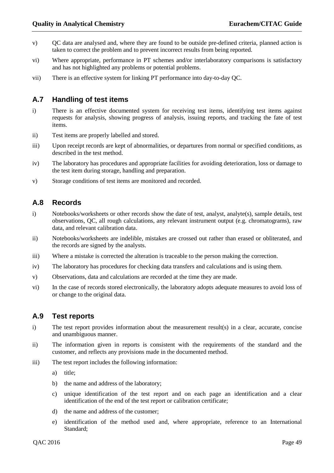- v) QC data are analysed and, where they are found to be outside pre-defined criteria, planned action is taken to correct the problem and to prevent incorrect results from being reported.
- vi) Where appropriate, performance in PT schemes and/or interlaboratory comparisons is satisfactory and has not highlighted any problems or potential problems.
- vii) There is an effective system for linking PT performance into day-to-day QC.

#### **A.7 Handling of test items**

- i) There is an effective documented system for receiving test items, identifying test items against requests for analysis, showing progress of analysis, issuing reports, and tracking the fate of test items.
- ii) Test items are properly labelled and stored.
- iii) Upon receipt records are kept of abnormalities, or departures from normal or specified conditions, as described in the test method.
- iv) The laboratory has procedures and appropriate facilities for avoiding deterioration, loss or damage to the test item during storage, handling and preparation.
- v) Storage conditions of test items are monitored and recorded.

#### **A.8 Records**

- i) Notebooks/worksheets or other records show the date of test, analyst, analyte(s), sample details, test observations, QC, all rough calculations, any relevant instrument output (e.g. chromatograms), raw data, and relevant calibration data.
- ii) Notebooks/worksheets are indelible, mistakes are crossed out rather than erased or obliterated, and the records are signed by the analysts.
- iii) Where a mistake is corrected the alteration is traceable to the person making the correction.
- iv) The laboratory has procedures for checking data transfers and calculations and is using them.
- v) Observations, data and calculations are recorded at the time they are made.
- vi) In the case of records stored electronically, the laboratory adopts adequate measures to avoid loss of or change to the original data.

#### **A.9 Test reports**

- i) The test report provides information about the measurement result(s) in a clear, accurate, concise and unambiguous manner.
- ii) The information given in reports is consistent with the requirements of the standard and the customer, and reflects any provisions made in the documented method.
- iii) The test report includes the following information:
	- a) title;
	- b) the name and address of the laboratory;
	- c) unique identification of the test report and on each page an identification and a clear identification of the end of the test report or calibration certificate;
	- d) the name and address of the customer;
	- e) identification of the method used and, where appropriate, reference to an International Standard;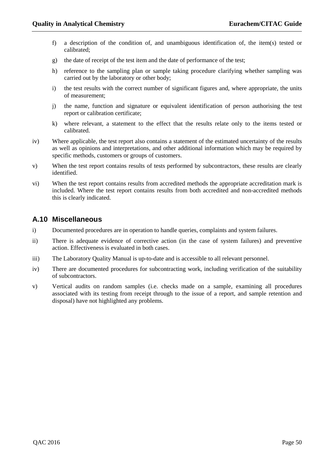- f) a description of the condition of, and unambiguous identification of, the item(s) tested or calibrated;
- g) the date of receipt of the test item and the date of performance of the test;
- h) reference to the sampling plan or sample taking procedure clarifying whether sampling was carried out by the laboratory or other body;
- i) the test results with the correct number of significant figures and, where appropriate, the units of measurement;
- j) the name, function and signature or equivalent identification of person authorising the test report or calibration certificate;
- k) where relevant, a statement to the effect that the results relate only to the items tested or calibrated.
- iv) Where applicable, the test report also contains a statement of the estimated uncertainty of the results as well as opinions and interpretations, and other additional information which may be required by specific methods, customers or groups of customers.
- v) When the test report contains results of tests performed by subcontractors, these results are clearly identified.
- vi) When the test report contains results from accredited methods the appropriate accreditation mark is included. Where the test report contains results from both accredited and non-accredited methods this is clearly indicated.

#### **A.10 Miscellaneous**

- i) Documented procedures are in operation to handle queries, complaints and system failures.
- ii) There is adequate evidence of corrective action (in the case of system failures) and preventive action. Effectiveness is evaluated in both cases.
- iii) The Laboratory Quality Manual is up-to-date and is accessible to all relevant personnel.
- iv) There are documented procedures for subcontracting work, including verification of the suitability of subcontractors.
- v) Vertical audits on random samples (i.e. checks made on a sample, examining all procedures associated with its testing from receipt through to the issue of a report, and sample retention and disposal) have not highlighted any problems.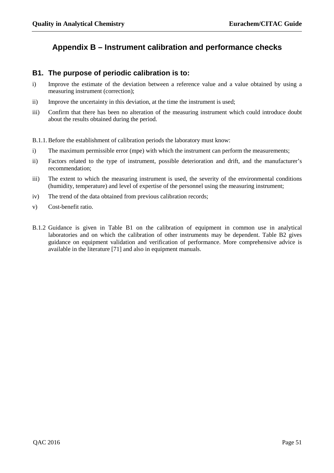#### **Appendix B – Instrument calibration and performance checks**

#### **B1. The purpose of periodic calibration is to:**

- i) Improve the estimate of the deviation between a reference value and a value obtained by using a measuring instrument (correction);
- ii) Improve the uncertainty in this deviation, at the time the instrument is used;
- iii) Confirm that there has been no alteration of the measuring instrument which could introduce doubt about the results obtained during the period.
- B.1.1. Before the establishment of calibration periods the laboratory must know:
- i) The maximum permissible error (mpe) with which the instrument can perform the measurements;
- ii) Factors related to the type of instrument, possible deterioration and drift, and the manufacturer's recommendation;
- iii) The extent to which the measuring instrument is used, the severity of the environmental conditions (humidity, temperature) and level of expertise of the personnel using the measuring instrument;
- iv) The trend of the data obtained from previous calibration records;
- v) Cost-benefit ratio.
- B.1.2 Guidance is given in Table B1 on the calibration of equipment in common use in analytical laboratories and on which the calibration of other instruments may be dependent. Table B2 gives guidance on equipment validation and verification of performance. More comprehensive advice is available in the literature [71] and also in equipment manuals.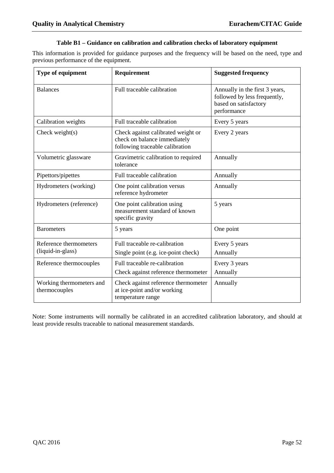#### **Table B1 – Guidance on calibration and calibration checks of laboratory equipment**

This information is provided for guidance purposes and the frequency will be based on the need, type and previous performance of the equipment.

| Type of equipment                           | <b>Requirement</b>                                                                                    | <b>Suggested frequency</b>                                                                             |
|---------------------------------------------|-------------------------------------------------------------------------------------------------------|--------------------------------------------------------------------------------------------------------|
| <b>Balances</b>                             | Full traceable calibration                                                                            | Annually in the first 3 years,<br>followed by less frequently,<br>based on satisfactory<br>performance |
| Calibration weights                         | Full traceable calibration                                                                            | Every 5 years                                                                                          |
| Check weight $(s)$                          | Check against calibrated weight or<br>check on balance immediately<br>following traceable calibration | Every 2 years                                                                                          |
| Volumetric glassware                        | Gravimetric calibration to required<br>tolerance                                                      | Annually                                                                                               |
| Pipettors/pipettes                          | Full traceable calibration                                                                            | Annually                                                                                               |
| Hydrometers (working)                       | One point calibration versus<br>reference hydrometer                                                  | Annually                                                                                               |
| Hydrometers (reference)                     | One point calibration using<br>measurement standard of known<br>specific gravity                      | 5 years                                                                                                |
| <b>Barometers</b>                           | 5 years                                                                                               | One point                                                                                              |
| Reference thermometers<br>(liquid-in-glass) | Full traceable re-calibration<br>Single point (e.g. ice-point check)                                  | Every 5 years<br>Annually                                                                              |
| Reference thermocouples                     | Full traceable re-calibration<br>Check against reference thermometer                                  | Every 3 years<br>Annually                                                                              |
| Working thermometers and<br>thermocouples   | Check against reference thermometer<br>at ice-point and/or working<br>temperature range               | Annually                                                                                               |

Note: Some instruments will normally be calibrated in an accredited calibration laboratory, and should at least provide results traceable to national measurement standards.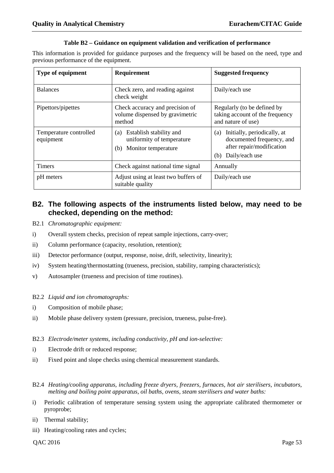#### **Table B2 – Guidance on equipment validation and verification of performance**

This information is provided for guidance purposes and the frequency will be based on the need, type and previous performance of the equipment.

| Type of equipment                   | Requirement                                                                               | <b>Suggested frequency</b>                                                                                            |
|-------------------------------------|-------------------------------------------------------------------------------------------|-----------------------------------------------------------------------------------------------------------------------|
| <b>Balances</b>                     | Check zero, and reading against<br>check weight                                           | Daily/each use                                                                                                        |
| Pipettors/pipettes                  | Check accuracy and precision of<br>volume dispensed by gravimetric<br>method              | Regularly (to be defined by<br>taking account of the frequency<br>and nature of use)                                  |
| Temperature controlled<br>equipment | Establish stability and<br>(a)<br>uniformity of temperature<br>Monitor temperature<br>(b) | Initially, periodically, at<br>(a)<br>documented frequency, and<br>after repair/modification<br>Daily/each use<br>(b) |
| <b>Timers</b>                       | Check against national time signal                                                        | Annually                                                                                                              |
| pH meters                           | Adjust using at least two buffers of<br>suitable quality                                  | Daily/each use                                                                                                        |

#### **B2. The following aspects of the instruments listed below, may need to be checked, depending on the method:**

- B2.1 *Chromatographic equipment:*
- i) Overall system checks, precision of repeat sample injections, carry-over;
- ii) Column performance (capacity, resolution, retention);
- iii) Detector performance (output, response, noise, drift, selectivity, linearity);
- iv) System heating/thermostatting (trueness, precision, stability, ramping characteristics);
- v) Autosampler (trueness and precision of time routines).

#### B2.2 *Liquid and ion chromatographs:*

- i) Composition of mobile phase;
- ii) Mobile phase delivery system (pressure, precision, trueness, pulse-free).
- B2.3 *Electrode/meter systems, including conductivity, pH and ion-selective:*
- i) Electrode drift or reduced response;
- ii) Fixed point and slope checks using chemical measurement standards.
- B2.4 *Heating/cooling apparatus, including freeze dryers, freezers, furnaces, hot air sterilisers, incubators, melting and boiling point apparatus, oil baths, ovens, steam sterilisers and water baths:*
- i) Periodic calibration of temperature sensing system using the appropriate calibrated thermometer or pyroprobe;
- ii) Thermal stability;
- iii) Heating/cooling rates and cycles;

QAC 2016 Page 53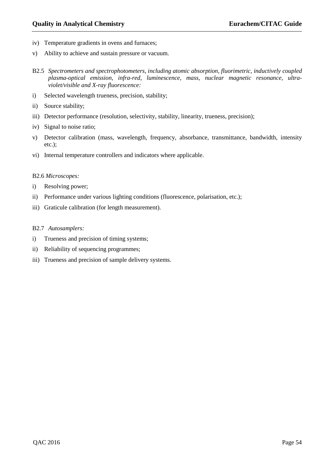- iv) Temperature gradients in ovens and furnaces;
- v) Ability to achieve and sustain pressure or vacuum.
- B2.5 *Spectrometers and spectrophotometers, including atomic absorption, fluorimetric, inductively coupled plasma-optical emission, infra-red, luminescence, mass, nuclear magnetic resonance, ultraviolet/visible and X-ray fluorescence:*
- i) Selected wavelength trueness, precision, stability;
- ii) Source stability;
- iii) Detector performance (resolution, selectivity, stability, linearity, trueness, precision);
- iv) Signal to noise ratio;
- v) Detector calibration (mass, wavelength, frequency, absorbance, transmittance, bandwidth, intensity etc.);
- vi) Internal temperature controllers and indicators where applicable.

#### B2.6 *Microscopes:*

- i) Resolving power;
- ii) Performance under various lighting conditions (fluorescence, polarisation, etc.);
- iii) Graticule calibration (for length measurement).

#### B2.7 *Autosamplers:*

- i) Trueness and precision of timing systems;
- ii) Reliability of sequencing programmes;
- iii) Trueness and precision of sample delivery systems.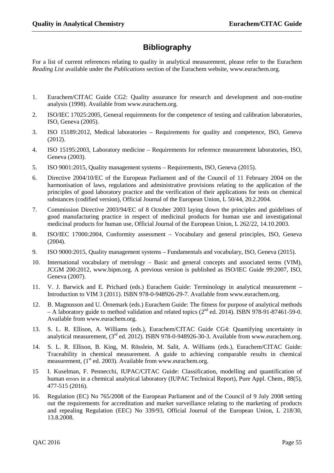#### **Bibliography**

For a list of current references relating to quality in analytical measurement, please refer to the Eurachem *Reading List* available under the *Publications* section of the Eurachem website, www.eurachem.org.

- 1. Eurachem/CITAC Guide CG2: Quality assurance for research and development and non-routine analysis (1998). Available from www.eurachem.org.
- 2. ISO/IEC 17025:2005, General requirements for the competence of testing and calibration laboratories, ISO, Geneva (2005).
- 3. ISO 15189:2012, Medical laboratories Requirements for quality and competence, ISO, Geneva (2012).
- 4. ISO 15195:2003, Laboratory medicine Requirements for reference measurement laboratories, ISO, Geneva (2003).
- 5. ISO 9001:2015, Quality management systems Requirements, ISO, Geneva (2015).
- 6. Directive 2004/10/EC of the European Parliament and of the Council of 11 February 2004 on the harmonisation of laws, regulations and administrative provisions relating to the application of the principles of good laboratory practice and the verification of their applications for tests on chemical substances (codified version), Official Journal of the European Union, L 50/44, 20.2.2004.
- 7. Commission Directive 2003/94/EC of 8 October 2003 laying down the principles and guidelines of good manufacturing practice in respect of medicinal products for human use and investigational medicinal products for human use, Official Journal of the European Union, L 262/22, 14.10.2003.
- 8. ISO/IEC 17000:2004, Conformity assessment Vocabulary and general principles, ISO, Geneva (2004).
- 9. ISO 9000:2015, Quality management systems Fundamentals and vocabulary, ISO, Geneva (2015).
- 10. International vocabulary of metrology Basic and general concepts and associated terms (VIM), JCGM 200:2012, www.bipm.org. A previous version is published as ISO/IEC Guide 99:2007, ISO, Geneva (2007).
- 11. V. J. Barwick and E. Prichard (eds.) Eurachem Guide: Terminology in analytical measurement Introduction to VIM 3 (2011). ISBN 978-0-948926-29-7. Available from www.eurachem.org.
- 12. B. Magnusson and U. Örnemark (eds.) Eurachem Guide: The fitness for purpose of analytical methods  $-$  A laboratory guide to method validation and related topics ( $2<sup>nd</sup>$  ed. 2014). ISBN 978-91-87461-59-0. Available from www.eurachem.org.
- 13. S. L. R. Ellison, A. Williams (eds.), Eurachem/CITAC Guide CG4: Quantifying uncertainty in analytical measurement, (3<sup>rd</sup> ed. 2012). ISBN 978-0-948926-30-3. Available from www.eurachem.org.
- 14. S. L. R. Ellison, B. King, M. Rösslein, M. Salit, A. Williams (eds.), Eurachem/CITAC Guide: Traceability in chemical measurement. A guide to achieving comparable results in chemical measurement,  $(1<sup>st</sup>$  ed. 2003). Available from www.eurachem.org.
- 15 I. Kuselman, F. Pennecchi, IUPAC/CITAC Guide: Classification, modelling and quantification of human errors in a chemical analytical laboratory (IUPAC Technical Report), Pure Appl. Chem., 88(5), 477-515 (2016).
- 16. Regulation (EC) No 765/2008 of the European Parliament and of the Council of 9 July 2008 setting out the requirements for accreditation and market surveillance relating to the marketing of products and repealing Regulation (EEC) No 339/93, Official Journal of the European Union, L 218/30, 13.8.2008.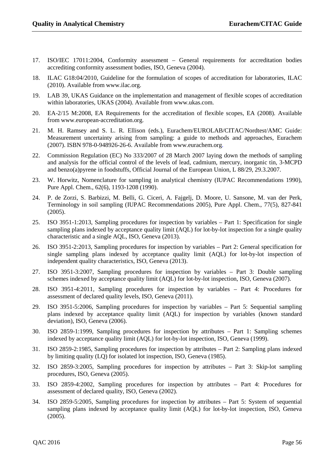- 17. ISO/IEC 17011:2004, Conformity assessment General requirements for accreditation bodies accrediting conformity assessment bodies, ISO, Geneva (2004).
- 18. ILAC G18:04/2010, Guideline for the formulation of scopes of accreditation for laboratories, ILAC (2010). Available from www.ilac.org.
- 19. LAB 39, UKAS Guidance on the implementation and management of flexible scopes of accreditation within laboratories, UKAS (2004). Available from www.ukas.com.
- 20. EA-2/15 M:2008, EA Requirements for the accreditation of flexible scopes, EA (2008). Available from www.european-accreditation.org.
- 21. M. H. Ramsey and S. L. R. Ellison (eds.), Eurachem/EUROLAB/CITAC/Nordtest/AMC Guide: Measurement uncertainty arising from sampling: a guide to methods and approaches, Eurachem (2007). ISBN 978-0-948926-26-6. Available from www.eurachem.org.
- 22. Commission Regulation (EC) No 333/2007 of 28 March 2007 laying down the methods of sampling and analysis for the official control of the levels of lead, cadmium, mercury, inorganic tin, 3-MCPD and benzo(a)pyrene in foodstuffs, Official Journal of the European Union, L 88/29, 29.3.2007.
- 23. W. Horwitz, Nomenclature for sampling in analytical chemistry (IUPAC Recommendations 1990), Pure Appl. Chem., 62(6), 1193-1208 (1990).
- 24. P. de Zorzi, S. Barbizzi, M. Belli, G. Ciceri, A. Fajgelj, D. Moore, U. Sansone, M. van der Perk, Terminology in soil sampling (IUPAC Recommendations 2005), Pure Appl. Chem., 77(5), 827-841 (2005).
- 25. ISO 3951-1:2013, Sampling procedures for inspection by variables Part 1: Specification for single sampling plans indexed by acceptance quality limit (AQL) for lot-by-lot inspection for a single quality characteristic and a single AQL, ISO, Geneva (2013).
- 26. ISO 3951-2:2013, Sampling procedures for inspection by variables Part 2: General specification for single sampling plans indexed by acceptance quality limit (AQL) for lot-by-lot inspection of independent quality characteristics, ISO, Geneva (2013).
- 27. ISO 3951-3:2007, Sampling procedures for inspection by variables Part 3: Double sampling schemes indexed by acceptance quality limit (AQL) for lot-by-lot inspection, ISO, Geneva (2007).
- 28. ISO 3951-4:2011, Sampling procedures for inspection by variables Part 4: Procedures for assessment of declared quality levels, ISO, Geneva (2011).
- 29. ISO 3951-5:2006, Sampling procedures for inspection by variables Part 5: Sequential sampling plans indexed by acceptance quality limit (AQL) for inspection by variables (known standard deviation), ISO, Geneva (2006).
- 30. ISO 2859-1:1999, Sampling procedures for inspection by attributes Part 1: Sampling schemes indexed by acceptance quality limit (AQL) for lot-by-lot inspection, ISO, Geneva (1999).
- 31. ISO 2859-2:1985, Sampling procedures for inspection by attributes Part 2: Sampling plans indexed by limiting quality (LQ) for isolated lot inspection, ISO, Geneva (1985).
- 32. ISO 2859-3:2005, Sampling procedures for inspection by attributes Part 3: Skip-lot sampling procedures, ISO, Geneva (2005).
- 33. ISO 2859-4:2002, Sampling procedures for inspection by attributes Part 4: Procedures for assessment of declared quality, ISO, Geneva (2002).
- 34. ISO 2859-5:2005, Sampling procedures for inspection by attributes Part 5: System of sequential sampling plans indexed by acceptance quality limit (AQL) for lot-by-lot inspection, ISO, Geneva (2005).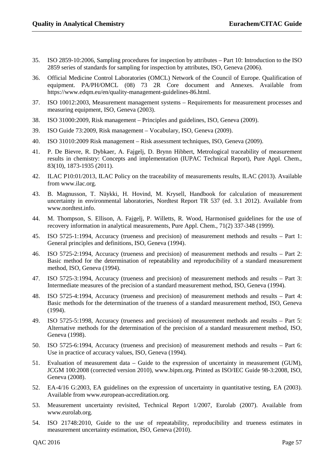- 35. ISO 2859-10:2006, Sampling procedures for inspection by attributes Part 10: Introduction to the ISO 2859 series of standards for sampling for inspection by attributes, ISO, Geneva (2006).
- 36. Official Medicine Control Laboratories (OMCL) Network of the Council of Europe. Qualification of equipment. PA/PH/OMCL (08) 73 2R Core document and Annexes. Available from https://www.edqm.eu/en/quality-management-guidelines-86.html.
- 37. ISO 10012:2003, Measurement management systems Requirements for measurement processes and measuring equipment, ISO, Geneva (2003).
- 38. ISO 31000:2009, Risk management Principles and guidelines, ISO, Geneva (2009).
- 39. ISO Guide 73:2009, Risk management Vocabulary, ISO, Geneva (2009).
- 40. ISO 31010:2009 Risk management Risk assessment techniques, ISO, Geneva (2009).
- 41. P. De Bievre, R. Dybkaer, A. Fajgelj, D. Brynn Hibbert, Metrological traceability of measurement results in chemistry: Concepts and implementation (IUPAC Technical Report), Pure Appl. Chem., 83(10), 1873-1935 (2011).
- 42. ILAC P10:01/2013, ILAC Policy on the traceability of measurements results, ILAC (2013). Available from www.ilac.org.
- 43. B. Magnusson, T. Näykki, H. Hovind, M. Krysell, Handbook for calculation of measurement uncertainty in environmental laboratories, Nordtest Report TR 537 (ed. 3.1 2012). Available from www.nordtest.info.
- 44. M. Thompson, S. Ellison, A. Fajgelj, P. Willetts, R. Wood, Harmonised guidelines for the use of recovery information in analytical measurements, Pure Appl. Chem., 71(2) 337-348 (1999).
- 45. ISO 5725-1:1994, Accuracy (trueness and precision) of measurement methods and results Part 1: General principles and definitions, ISO, Geneva (1994).
- 46. ISO 5725-2:1994, Accuracy (trueness and precision) of measurement methods and results Part 2: Basic method for the determination of repeatability and reproducibility of a standard measurement method, ISO, Geneva (1994).
- 47. ISO 5725-3:1994, Accuracy (trueness and precision) of measurement methods and results Part 3: Intermediate measures of the precision of a standard measurement method, ISO, Geneva (1994).
- 48. ISO 5725-4:1994, Accuracy (trueness and precision) of measurement methods and results Part 4: Basic methods for the determination of the trueness of a standard measurement method, ISO, Geneva (1994).
- 49. ISO 5725-5:1998, Accuracy (trueness and precision) of measurement methods and results Part 5: Alternative methods for the determination of the precision of a standard measurement method, ISO, Geneva (1998).
- 50. ISO 5725-6:1994, Accuracy (trueness and precision) of measurement methods and results Part 6: Use in practice of accuracy values, ISO, Geneva (1994).
- 51. Evaluation of measurement data Guide to the expression of uncertainty in measurement (GUM), JCGM 100:2008 (corrected version 2010), www.bipm.org. Printed as ISO/IEC Guide 98-3:2008, ISO, Geneva (2008).
- 52. EA-4/16 G:2003, EA guidelines on the expression of uncertainty in quantitative testing, EA (2003). Available from www.european-accreditation.org.
- 53. Measurement uncertainty revisited, Technical Report 1/2007, Eurolab (2007). Available from www.eurolab.org.
- 54. ISO 21748:2010, Guide to the use of repeatability, reproducibility and trueness estimates in measurement uncertainty estimation, ISO, Geneva (2010).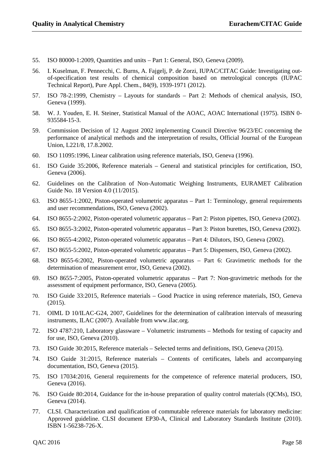- 55. ISO 80000-1:2009, Quantities and units Part 1: General, ISO, Geneva (2009).
- 56. I. Kuselman, F. Pennecchi, C. Burns, A. Fajgelj, P. de Zorzi, IUPAC/CITAC Guide: Investigating outof-specification test results of chemical composition based on metrological concepts (IUPAC Technical Report), Pure Appl. Chem., 84(9), 1939-1971 (2012).
- 57. ISO 78-2:1999, Chemistry Layouts for standards Part 2: Methods of chemical analysis, ISO, Geneva (1999).
- 58. W. J. Youden, E. H. Steiner, Statistical Manual of the AOAC, AOAC International (1975). ISBN 0- 935584-15-3.
- 59. Commission Decision of 12 August 2002 implementing Council Directive 96/23/EC concerning the performance of analytical methods and the interpretation of results, Official Journal of the European Union, L221/8, 17.8.2002.
- 60. ISO 11095:1996, Linear calibration using reference materials, ISO, Geneva (1996).
- 61. ISO Guide 35:2006, Reference materials General and statistical principles for certification, ISO, Geneva (2006).
- 62. Guidelines on the Calibration of Non-Automatic Weighing Instruments, EURAMET Calibration Guide No. 18 Version 4.0 (11/2015).
- 63. ISO 8655-1:2002, Piston-operated volumetric apparatus Part 1: Terminology, general requirements and user recommendations, ISO, Geneva (2002).
- 64. ISO 8655-2:2002, Piston-operated volumetric apparatus Part 2: Piston pipettes, ISO, Geneva (2002).
- 65. ISO 8655-3:2002, Piston-operated volumetric apparatus Part 3: Piston burettes, ISO, Geneva (2002).
- 66. ISO 8655-4:2002, Piston-operated volumetric apparatus Part 4: Dilutors, ISO, Geneva (2002).
- 67. ISO 8655-5:2002, Piston-operated volumetric apparatus Part 5: Dispensers, ISO, Geneva (2002).
- 68. ISO 8655-6:2002, Piston-operated volumetric apparatus Part 6: Gravimetric methods for the determination of measurement error, ISO, Geneva (2002).
- 69. ISO 8655-7:2005, Piston-operated volumetric apparatus Part 7: Non-gravimetric methods for the assessment of equipment performance, ISO, Geneva (2005).
- 70. ISO Guide 33:2015, Reference materials Good Practice in using reference materials, ISO, Geneva (2015).
- 71. OIML D 10/ILAC-G24, 2007, Guidelines for the determination of calibration intervals of measuring instruments, ILAC (2007). Available from www.ilac.org.
- 72. ISO 4787:210, Laboratory glassware Volumetric instruments Methods for testing of capacity and for use, ISO, Geneva (2010).
- 73. ISO Guide 30:2015, Reference materials Selected terms and definitions, ISO, Geneva (2015).
- 74. ISO Guide 31:2015, Reference materials Contents of certificates, labels and accompanying documentation, ISO, Geneva (2015).
- 75. ISO 17034:2016, General requirements for the competence of reference material producers, ISO, Geneva (2016).
- 76. ISO Guide 80:2014, Guidance for the in-house preparation of quality control materials (QCMs), ISO, Geneva (2014).
- 77. CLSI. Characterization and qualification of commutable reference materials for laboratory medicine: Approved guideline. CLSI document EP30-A, Clinical and Laboratory Standards Institute (2010). ISBN 1-56238-726-X.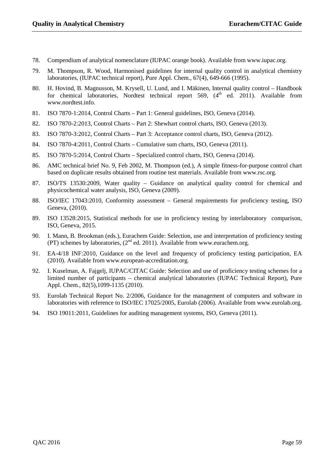- 78. Compendium of analytical nomenclature (IUPAC orange book). Available from www.iupac.org.
- 79. M. Thompson, R. Wood, Harmonised guidelines for internal quality control in analytical chemistry laboratories, (IUPAC technical report), Pure Appl. Chem., 67(4), 649-666 (1995).
- 80. H. Hovind, B. Magnusson, M. Krysell, U. Lund, and I. Mäkinen, Internal quality control Handbook for chemical laboratories, Nordtest technical report 569,  $(4<sup>th</sup>$  ed. 2011). Available from www.nordtest.info.
- 81. ISO 7870-1:2014, Control Charts Part 1: General guidelines, ISO, Geneva (2014).
- 82. ISO 7870-2:2013, Control Charts Part 2: Shewhart control charts, ISO, Geneva (2013).
- 83. ISO 7870-3:2012, Control Charts Part 3: Acceptance control charts, ISO, Geneva (2012).
- 84. ISO 7870-4:2011, Control Charts Cumulative sum charts, ISO, Geneva (2011).
- 85. ISO 7870-5:2014, Control Charts Specialized control charts, ISO, Geneva (2014).
- 86. AMC technical brief No. 9, Feb 2002, M. Thompson (ed.), A simple fitness-for-purpose control chart based on duplicate results obtained from routine test materials. Available from www.rsc.org.
- 87. ISO/TS 13530:2009, Water quality Guidance on analytical quality control for chemical and physicochemical water analysis, ISO, Geneva (2009).
- 88. ISO/IEC 17043:2010, Conformity assessment General requirements for proficiency testing, ISO Geneva, (2010).
- 89. ISO 13528:2015, Statistical methods for use in proficiency testing by interlaboratory comparison, ISO, Geneva, 2015.
- 90. I. Mann, B. Brookman (eds.), Eurachem Guide: Selection, use and interpretation of proficiency testing (PT) schemes by laboratories,  $(2<sup>nd</sup>$  ed. 2011). Available from www.eurachem.org.
- 91. EA-4/18 INF:2010, Guidance on the level and frequency of proficiency testing participation, EA (2010). Available from www.european-accreditation.org.
- 92. I. Kuselman, A. Fajgelj, IUPAC/CITAC Guide: Selection and use of proficiency testing schemes for a limited number of participants – chemical analytical laboratories (IUPAC Technical Report), Pure Appl. Chem., 82(5),1099-1135 (2010).
- 93. Eurolab Technical Report No. 2/2006, Guidance for the management of computers and software in laboratories with reference to ISO/IEC 17025/2005, Eurolab (2006). Available from www.eurolab.org.
- 94. ISO 19011:2011, Guidelines for auditing management systems, ISO, Geneva (2011).